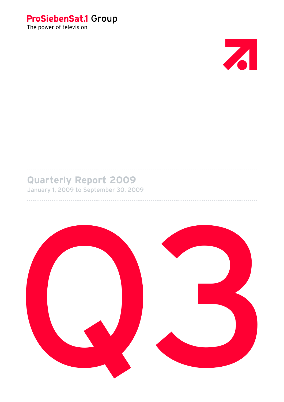



# **Quarterly Report 2009**

January 1, 2009 to September 30, 2009

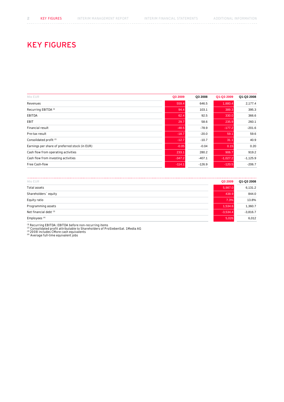# KEY FIGURES

| Mio EUR                                        | Q3 2009  | Q3 2008  | Q1-Q3 2009 | Q1-Q3 2008 |
|------------------------------------------------|----------|----------|------------|------------|
| Revenues                                       | 559.4    | 646.5    | 1,880.4    | 2,177.4    |
| Recurring EBITDA <sup>(1)</sup>                | 94.4     | 103.1    | 389.3      | 395.3      |
| <b>EBITDA</b>                                  | 62.4     | 92.5     | 330.0      | 366.6      |
| EBIT                                           | 29.7     | 58.6     | 235.9      | 260.1      |
| Financial result                               | $-48.5$  | $-78.9$  | $-177.2$   | $-201.6$   |
| Pre-tax result                                 | $-18.7$  | $-20.0$  | 59.1       | 59.6       |
| Consolidated profit <sup>(2)</sup>             | $-12.7$  | $-10.7$  | 31.1       | 40.9       |
| Earnings per share of preferred stock (in EUR) | $-0.05$  | $-0.04$  | 0.15       | 0.20       |
| Cash flow from operating activities            | 233.1    | 280.2    | 906.7      | 919.2      |
| Cash flow from investing activities            | $-347.2$ | $-407.1$ | $-1,027.2$ | $-1,125.9$ |
| Free Cash-flow                                 | $-114.1$ | $-126.9$ | $-120.5$   | $-206.7$   |
|                                                |          |          |            |            |

| Mio EUR                  | Q3 2009    | Q1-Q3 2008 |
|--------------------------|------------|------------|
| Total assets             | 5,987.0    | 6,131.2    |
| Shareholders' equity     | 438.9      | 844.0      |
| Equity ratio             | 7.3%       | 13.8%      |
| Programming assets       | 1,534.6    | 1,360.7    |
| Net financial debt (3)   | $-3,534.4$ | $-3,816.7$ |
| Employees <sup>(4)</sup> | 5,026      | 6,012      |

<sup>(1)</sup> Recurring EBITDA: EBITDA before non-recurring items<br><sup>(2)</sup> Consolidated profit attributable to Shareholders of ProSiebenSat. 1 Media A<br><sup>(3)</sup> 2008 includes CMore cash equivalents<br><sup>(3)</sup> Average full-time equivalent jobs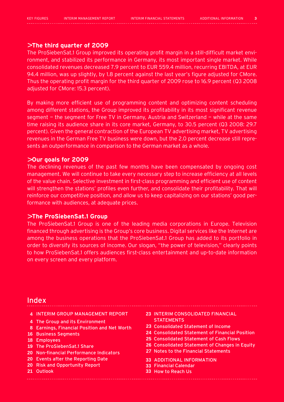## > **The third quarter of 2009**

The ProSiebenSat.1 Group improved its operating profit margin in a still-difficult market environment, and stabilized its performance in Germany, its most important single market. While consolidated revenues decreased 7.9 percent to EUR 559.4 million, recurring EBITDA, at EUR 94.4 million, was up slightly, by 1.8 percent against the last year's figure adjusted for CMore. Thus the operating profit margin for the third quarter of 2009 rose to 16.9 percent (Q3 2008 adjusted for CMore: 15.3 percent).

By making more efficient use of programming content and optimizing content scheduling among different stations, the Group improved its profitability in its most significant revenue segment — the segment for Free TV in Germany, Austria and Switzerland — while at the same time raising its audience share in its core market, Germany, to 30.5 percent (Q3 2008: 29.7 percent). Given the general contraction of the European TV advertising market, TV advertising revenues in the German Free TV business were down, but the 2.0 percent decrease still represents an outperformance in comparison to the German market as a whole.

## > **Our goals for 2009**

The declining revenues of the past few months have been compensated by ongoing cost management. We will continue to take every necessary step to increase efficiency at all levels of the value chain. Selective investment in first-class programming and efficient use of content will strengthen the stations' profiles even further, and consolidate their profitability. That will reinforce our competitive position, and allow us to keep capitalizing on our stations' good performance with audiences, at adequate prices.

## > **The ProSiebenSat.1 Group**

The ProSiebenSat.1 Group is one of the leading media corporations in Europe. Television financed through advertising is the Group's core business. Digital services like the Internet are among the business operations that the ProSiebenSat.1 Group has added to its portfolio in order to diversify its sources of income. Our slogan, "the power of television," clearly points to how ProSiebenSat.1 offers audiences first-class entertainment and up-to-date information on every screen and every platform.

# Index

- **4** INTERIM GROUP MANAGEMENT REPORT **23** interim consolidated Financial
- The Group and its Environment **4**
- Earnings, Financial Position and Net Worth **8**
- 16 Business Segments
- Employees **18**
- 19 The ProSiebenSat.1 Share
- Non-financial Performance Indicators **20**
- Events after the Reporting Date **20**
- 20 Risk and Opportunity Report
- 21 Outlook
- **STATEMENTS**
- **23** Consolidated Statement of Income
- **24** Consolidated Statement of Financial Position
- **25** Consolidated Statement of Cash Flows
- **26** Consolidated Statement of Changes in Equity
- **27** Notes to the Financial Statements
- **33 ADDITIONAL IN**
- **33** Financial Calendar
- **33** How to Reach Us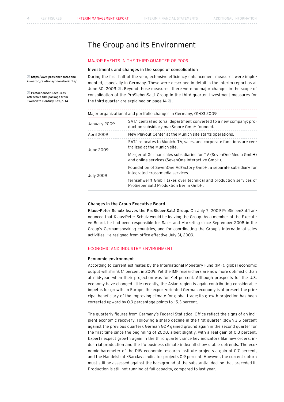# The Group and its Environment

## Major events IN the third quarter of 2009

### Investments and changes in the scope of consolidation

During the first half of the year, extensive efficiency enhancement measures were implemented, especially in Germany. These were described in detail in the interim report as at June 30, 2009  $\overline{a}$ . Beyond those measures, there were no major changes in the scope of consolidation of the ProSiebenSat.1 Group in the third quarter. Investment measures for the third quarter are explained on page 14  $\overline{a}$ .

|                  | Major organizational and portfolio changes in Germany, Q1-Q3 2009                                                    |  |  |  |  |  |
|------------------|----------------------------------------------------------------------------------------------------------------------|--|--|--|--|--|
| January 2009     | SAT.1 central editorial department converted to a new company; pro-<br>duction subsidiary maz&more GmbH founded.     |  |  |  |  |  |
| April 2009       | New Playout Center at the Munich site starts operations.                                                             |  |  |  |  |  |
| June 2009        | SAT.1 relocates to Munich. TV, sales, and corporate functions are cen-<br>tralized at the Munich site.               |  |  |  |  |  |
|                  | Merger of German sales subsidiaries for TV (SevenOne Media GmbH)<br>and online services (SevenOne Interactive GmbH). |  |  |  |  |  |
| <b>July 2009</b> | Foundation of SevenOne AdFactory GmbH, a separate subsidiary for<br>integrated cross-media services.                 |  |  |  |  |  |
|                  | fernsehwerft GmbH takes over technical and production services of<br>ProSiebenSat.1 Produktion Berlin GmbH.          |  |  |  |  |  |

## Changes in the Group Executive Board

Klaus-Peter Schulz leaves the ProSiebenSat.1 Group. On July 7, 2009 ProSiebenSat.1 announced that Klaus-Peter Schulz would be leaving the Group. As a member of the Executive Board, he had been responsible for Sales and Marketing since September 2008 in the Group's German-speaking countries, and for coordinating the Group's international sales activities. He resigned from office effective July 31, 2009.

## Economic and industry environment

### Economic environment

According to current estimates by the International Monetary Fund (IMF), global economic output will shrink 1.1 percent in 2009. Yet the IMF researchers are now more optimistic than at mid-year, when their projection was for –1.4 percent. Although prospects for the U.S. economy have changed little recently, the Asian region is again contributing considerable impetus for growth. In Europe, the export-oriented German economy is at present the principal beneficiary of the improving climate for global trade; its growth projection has been corrected upward by 0.9 percentage points to –5.3 percent.

The quarterly figures from Germany's Federal Statistical Office reflect the signs of an incipient economic recovery. Following a sharp decline in the first quarter (down 3.5 percent against the previous quarter), German GDP gained ground again in the second quarter for the first time since the beginning of 2008, albeit slightly, with a real gain of 0.3 percent. Experts expect growth again in the third quarter, since key indicators like new orders, industrial production and the Ifo business climate index all show stable uptrends. The economic barometer of the DIW economic research institute projects a gain of 0.7 percent, and the Handelsblatt-Barclays indicator projects 0.9 percent. However, the current upturn must still be assessed against the background of the substantial decline that preceded it. Production is still not running at full capacity, compared to last year.

 http://www.prosiebensat1.com/ investor\_relations/finanzberichte/

 ProSiebenSat.1 acquires attractive film package from Twentieth Century Fox, p. 14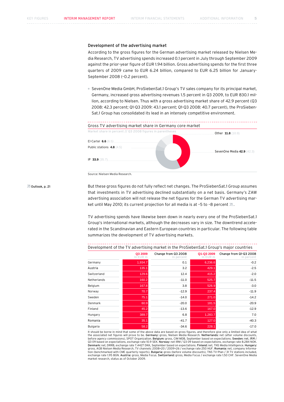## Development of the advertising market

According to the gross figures for the German advertising market released by Nielsen Media Research, TV advertising spends increased 0.1 percent in July through September 2009 against the prior-year figure of EUR 1.94 billion. Gross advertising spends for the first three quarters of 2009 came to EUR 6.24 billion, compared to EUR 6.25 billion for January-September 2008 (–0.2 percent).

 SevenOne Media GmbH, ProSiebenSat.1 Group's TV sales company for its principal market, Germany, increased gross advertising revenues 1.5 percent in Q3 2009, to EUR 830.1 million, according to Nielsen. Thus with a gross advertising market share of 42.9 percent (Q3 2008: 42.3 percent; Q1-Q3 2009: 43.1 percent; Q1-Q3 2008: 40.7 percent), the ProSieben-Sat.1 Group has consolidated its lead in an intensely competitive environment.



**Z** Outlook, p. 21

But these gross figures do not fully reflect net changes. The ProSiebenSat.1 Group assumes that investments in TV advertising declined substantially on a net basis. Germany's ZAW advertising association will not release the net figures for the German TV advertising market until May 2010; its current projection for all media is at -5 to -8 percent  $\sqrt{a}$ .

TV advertising spends have likewise been down in nearly every one of the ProSiebenSat.1 Group's international markets, although the decreases vary in size. The downtrend accelerated in the Scandinavian and Eastern European countries in particular. The following table summarizes the development of TV advertising markets.

|             | Q3 2009<br>In EUR m | Change from Q3 2008<br>In percent | Q1-Q3 2009<br>In EUR m | Change from Q1-Q3 2008<br>In percent |
|-------------|---------------------|-----------------------------------|------------------------|--------------------------------------|
| Germany     | 1,934.7             | 0.1                               | 6,236.6                | $-0.2$                               |
| Austria     | 135.1               | 3.2                               | 429.1                  | $-2.5$                               |
| Switzerland | 129.6               | 12.4                              | 415.2                  | $-2.0$                               |
| Netherlands | 160.2               | $-11.0$                           | 525.7                  | $-11.5$                              |
| Belgium     | 167.8               | 3.8                               | 526.9                  | $-3.0$                               |
| Norway      | 70.7                | $-12.9$                           | 237.4                  | $-11.9$                              |
| Sweden      | 75.1                | $-14.0$                           | 271.0                  | $-14.2$                              |
| Denmark     | 60.9                | $-20.0$                           | 181.5                  | $-20.9$                              |
| Finland     | 45.2                | $-13.6$                           | 167.0                  | $-12.9$                              |
| Hungary     | 389.7               | 6.8                               | 1,283.7                | 7.0                                  |
| Romania     | 35.1                | $-41.7$                           | 127.0                  | $-40.3$                              |
| Bulgaria    | 58.2                | $-34.6$                           | 228.1                  | $-17.0$                              |

Development of the TV advertising market in the ProSiebenSat.1 Group's major countries

It should be borne in mind that some of the above data are based on gross figures, and therefore give only a limited idea of what<br>the associated net figures will prove to be. **Germany:** gross, Nielsen Media Research. **Neth** before agency commissions), SPOT Organization. **Belgium:** gross, CIM MDB, September based on expectations. **Sweden:** net, IRM /<br>Q3 09 based on expectations, exchange rate 10.9 SEK. **Norway:** net IRM / Q3 09 based on expect Denmark: net, DRRB, exchange rate 7.4427 DKK, September based on expectations. Finland: net, TNS Media Intelligence. Hungary: gross, AGB Nielsen Media Research, TV channels: 2008=20 / 2009=26 / exchange rate 250 HUF. Romania: net, company information (benchmarked with CME quarterly reports). Bulgaria: gross (before volume discounts), TNS TV-Plan / 31 TV stations included, exchange rate 1.95 BGN. Austria: gross, Media Focus. Switzerland: gross, Media Focus / exchange rate 1.50 CHF. SevenOne Media market research, status as of October 2009.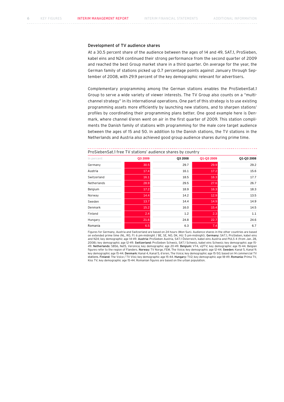## Development of TV audience shares

At a 30.5 percent share of the audience between the ages of 14 and 49, SAT.1, ProSieben, kabel eins and N24 continued their strong performance from the second quarter of 2009 and reached the best Group market share in a third quarter. On average for the year, the German family of stations picked up 0.7 percentage points against January through September of 2008, with 29.9 percent of the key demographic relevant for advertisers.

Complementary programming among the German stations enables the ProSiebenSat.1 Group to serve a wide variety of viewer interests. The TV Group also counts on a "multichannel strategy" in its international operations. One part of this strategy is to use existing programming assets more efficiently by launching new stations, and to sharpen stations' profiles by coordinating their programming plans better. One good example here is Denmark, where channel 6'eren went on air in the first quarter of 2009. This station compliments the Danish family of stations with programming for the male core target audience between the ages of 15 and 50. In addition to the Danish stations, the TV stations in the Netherlands and Austria also achieved good group audience shares during prime time.

| In percent  | Q3 2009 | Q3 2008 | Q1-Q3 2009 | Q1-Q3 2008 |
|-------------|---------|---------|------------|------------|
| Germany     | 30.5    | 29.7    | 29.9       | 29.2       |
| Austria     | 17.4    | 16.1    | 17.2       | 15.6       |
| Switzerland | 16.1    | 18.5    | 16.3       | 17.7       |
| Netherlands | 28.9    | 29.5    | 27.6       | 26.7       |
| Belgium     | 17.2    | 18.9    | 16.3       | 18.3       |
| Norway      | 14.4    | 14.2    | 12.9       | 13.5       |
| Sweden      | 13.7    | 14.4    | 14.9       | 14.9       |
| Denmark     | 15.2    | 16.0    | 15.4       | 14.5       |
| Finland     | 2.4     | 1.2     | 2.3        | 1.1        |
| Hungary     | 21.6    | 24.8    | 22.7       | 24.6       |
| Romania     | 6.5     | 6.3     | 7.4        | 6.7        |

ProSiebenSat.1 free TV stations' audience shares by country

Figures for Germany, Austria and Switzerland are based on 24 hours (Mon-Sun). Audience shares in the other countries are based on extended prime time (NL, RO, FI: 6 pm-midnight / BE, SE, NO, DK, HU: 5 pm-midnight). Germany: SAT.1, ProSieben, kabel eins and N24; key demographic age 14-49. Austria: ProSieben Austria, SAT.1 Österreich, kabel eins Austria and PULS 4 (from Jan. 28, 2008); key demographic age 12-49. Switzerland: ProSieben Schweiz, SAT.1 Schweiz, kabel eins Schweiz; key demographic age 15- 49. Netherlands: SBS6, Net5, Veronica; key demographic age 20-49. Belgium: VT4, vijfTV; key demographic age 15-44. Belgian figures refer to the region of Flanders. **Norway:** TV Norge, FEM, The Voice; key demographic age 12-44. **Sweden:** Kanal 5, Kanal 9;<br>key demographic age 15-44. **Denmark:** Kanal 4, Kanal 5, 6'eren, The Voice; key demographic stations. Finland: The Voice / TV Viisi; key demographic age 15-44. Hungary: TV2; key demographic age 18-49. Romania: Prima TV, Kiss TV; key demographic age 15-44. Romanian figures are based on the urban population.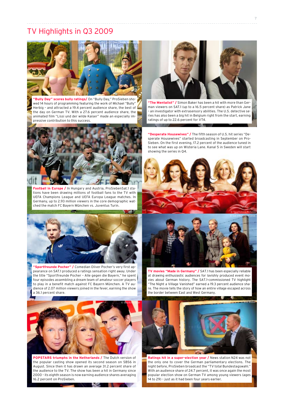# TV Highlights in Q3 2009



**"Bully Day" scores bully ratings/** On "Bully Day," ProSieben showed 14 hours of programming featuring the work of Michael "Bully" Herbig – and attracted a 19.4 percent audience share, the best of the day on German TV. With a 27.6 percent audience share, the animated film "Lissi und der wilde Kaiser" made an especially impressive contribution to this success.



**"The Mentalist" /** Simon Baker has been a hit with more than German viewers on SAT.1 (up to a 16.5 percent share) as Patrick Jane – an investigator with extrasensory abilities. The U.S. detective series has also been a big hit in Belgium right from the start, earning ratings of up to 22.6 percent for VT4.



**Football in Europe /** In Hungary and Austria, ProSiebenSat.1 stations have been drawing millions of football fans to the TV with UEFA Champions League and UEFA Europa League matches. In Germany, up to 2.93 million viewers in the core demographic watched the match FC Bayern München vs. Juventus Turin.



**"Sportfreunde Pocher" /** Comedian Oliver Pocher's very first appearance on SAT.1 produced a ratings sensation right away. Under the title "Sportfreunde Pocher – Alle gegen die Bayern," he spent four episodes assembling a dream team of amateur soccer players to play in a benefit match against FC Bayern München. A TV audience of 2.07 million viewers joined in the fever, earning the show a 36.1 percent share.

sperate Housewives" started broadcasting in September on Pro-Sieben. On the first evening, 17.2 percent of the audience tuned in to see what was up on Wisteria Lane. Kanal 5 in Sweden will start showing the series in Q4.

**"Desperate Housewives" /** The fifth season of U.S. hit series "De-

**CALL** 





© Touchstone Pictures

**TV movies "Made in Germany" /** SAT.1 has been especially reliable at drawing enthusiastic audiences for lavishly produced event movies about German history. The SAT.1-commissioned TV highlight "The Night a Village Vanished" earned a 19.3 percent audience share. The movie tells the story of how an entire village escaped across the border between East and West Germany.



**POPSTARS triumphs in the Netherlands /** The Dutch version of the popular casting show opened its second season on SBS6 in August. Since then it has drawn an average 31.2 percent share of the audience to the TV. The show has been a hit in Germany since 2000 – its eighth season is now earning audience shares averaging 16.2 percent on ProSieben.



**Ratings hit in a super-election year /** News station N24 was not the only one to cover the German parliamentary elections. The night before, ProSieben broadcast the "TV total Bundestagswahl." With an audience share of 24.7 percent, it was once again the most popular election show on German TV among young viewers (ages 14 to 29) – just as it had been four years earlier.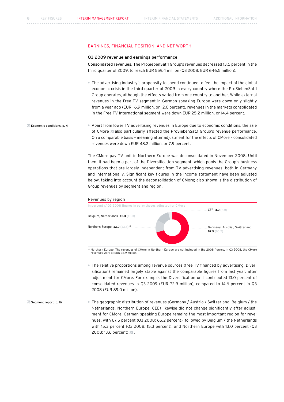## Earnings, Financial Position, and Net Worth

### Q3 2009 revenue and earnings performance

Consolidated revenues. The ProSiebenSat.1 Group's revenues decreased 13.5 percent in the third quarter of 2009, to reach EUR 559.4 million (Q3 2008: EUR 646.5 million).

 The advertising industry's propensity to spend continued to feel the impact of the global economic crisis in the third quarter of 2009 in every country where the ProSiebenSat.1 Group operates, although the effects varied from one country to another. While external revenues in the Free TV segment in German-speaking Europe were down only slightly from a year ago (EUR –6.9 million, or –2.0 percent), revenues in the markets consolidated in the Free TV International segment were down EUR 25.2 million, or 14.4 percent.

**Z** Economic conditions, p. 4 Apart from lower TV advertising revenues in Europe due to economic conditions, the sale of CMore also particularly affected the ProSiebenSat.1 Group's revenue performance. On a comparable basis – meaning after adjustment for the effects of CMore – consolidated revenues were down EUR 48.2 million, or 7.9 percent.

> The CMore pay TV unit in Northern Europe was deconsolidated in November 2008. Until then, it had been a part of the Diversification segment, which pools the Group's business operations that are largely independent from TV advertising revenues, both in Germany and internationally. Significant key figures in the income statement have been adjusted below, taking into account the deconsolidation of CMore; also shown is the distribution of Group revenues by segment and region.



 $^{(1)}$ Northern Europe: The revenues of CMore in Northern Europe are not included in the 2008 figures. In Q3 2008, the CMore revenues were at EUR 38.9 million.

- The relative proportions among revenue sources (free TV financed by advertising, Diversification) remained largely stable against the comparable figures from last year, after adjustment for CMore. For example, the Diversification unit contributed 13.0 percent of consolidated revenues in Q3 2009 (EUR 72.9 million), compared to 14.6 percent in Q3 2008 (EUR 89.0 million).
- The geographic distribution of revenues (Germany / Austria / Switzerland, Belgium / the Netherlands, Northern Europe, CEE) likewise did not change significantly after adjustment for CMore. German-speaking Europe remains the most important region for revenues, with 67.5 percent (Q3 2008: 65.2 percent), followed by Belgium / the Netherlands with 15.3 percent (Q3 2008: 15.3 percent), and Northern Europe with 13.0 percent (Q3 2008: 13.6 percent)  $\sqrt{2}$ . Segment report, p. 16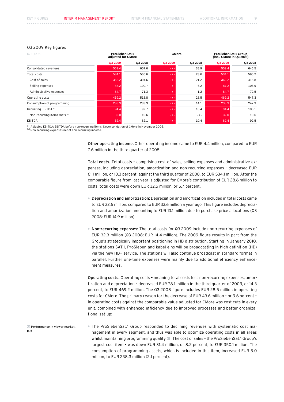## Q3 2009 Key figures

| In EUR m                        |         | ProSiebenSat.1<br>adjusted for CMore |         | <b>CMore</b> |         | ProSiebenSat.1 Group<br>(incl. CMore in Q3 2008) |  |
|---------------------------------|---------|--------------------------------------|---------|--------------|---------|--------------------------------------------------|--|
|                                 | Q3 2009 | Q3 2008                              | Q3 2009 | Q3 2008      | Q3 2009 | Q3 2008                                          |  |
| Consolidated revenues           | 559.4   | 607.6                                | $-1-$   | 38.9         | 559.4   | 646.5                                            |  |
| Total costs                     | 534.1   | 566.6                                | $-1-$   | 28.6         | 534.1   | 595.2                                            |  |
| Cost of sales                   | 362.2   | 394.6                                | $-1-$   | 21.2         | 362.2   | 415.8                                            |  |
| Selling expenses                | 87.2    | 100.7                                | $-1 -$  | 6.2          | 87.2    | 106.9                                            |  |
| Administrative expenses         | 84.7    | 71.3                                 | $-1 -$  | 1.2          | 84.7    | 72.5                                             |  |
| Operating costs                 | 469.2   | 518.8                                | $-1 -$  | 28.5         | 469.2   | 547.3                                            |  |
| Consumption of programming      | 238.3   | 233.3                                | $-1-$   | 14.1         | 238.3   | 247.3                                            |  |
| Recurring EBITDA <sup>(1)</sup> | 94.4    | 92.7                                 | $-1 -$  | 10.4         | 94.4    | 103.1                                            |  |
| Non-recurring items (net) (2)   | 32.0    | 10.6                                 | $-1 -$  | $-1$         | 32.0    | 10.6                                             |  |
| <b>EBITDA</b>                   | 62.4    | 82.1                                 | $-1-$   | 10.4         | 62.4    | 92.5                                             |  |

 $\frac{(1)}{(2)}$  Adjusted EBITDA: EBITDA before non-recurring items. Deconsolidation of CMore in November 2008.<br>(2) Non-recurring expenses net of non-recurring income.

Other operating income. Other operating income came to EUR 4.4 million, compared to EUR 7.6 million in the third quarter of 2008.

Total costs. Total costs – comprising cost of sales, selling expenses and administrative expenses, including depreciation, amortization and non-recurring expenses – decreased EUR 61.1 million, or 10.3 percent, against the third quarter of 2008, to EUR 534.1 million. After the comparable figure from last year is adjusted for CMore's contribution of EUR 28.6 million to costs, total costs were down EUR 32.5 million, or 5.7 percent.

- Depreciation and amortization: Depreciation and amortization included in total costs came to EUR 32.6 million, compared to EUR 33.6 million a year ago. This figure includes depreciation and amortization amounting to EUR 13.1 million due to purchase price allocations (Q3 2008: EUR 14.9 million).
- Non-recurring expenses: The total costs for Q3 2009 include non-recurring expenses of EUR 32.3 million (Q3 2008: EUR 14.4 million). The 2009 figure results in part from the Group's strategically important positioning in HD distribution. Starting in January 2010, the stations SAT.1, ProSieben and kabel eins will be broadcasting in high definition (HD) via the new HD+ service. The stations will also continue broadcast in standard format in parallel. Further one-time expenses were mainly due to additional efficiency enhancement measures.

Operating costs. Operating costs – meaning total costs less non-recurring expenses, amortization and depreciation – decreased EUR 78.1 million in the third quarter of 2009, or 14.3 percent, to EUR 469.2 million. The Q3 2008 figure includes EUR 28.5 million in operating costs for CMore. The primary reason for the decrease of EUR 49.6 million – or 9.6 percent – in operating costs against the comparable value adjusted for CMore was cost cuts in every unit, combined with enhanced efficiency due to improved processes and better organizational set-up:

 The ProSiebenSat.1 Group responded to declining revenues with systematic cost management in every segment, and thus was able to optimize operating costs in all areas whilst maintaining programming quality **A**. The cost of sales - the ProSiebenSat.1 Group's largest cost item – was down EUR 31.4 million, or 8.2 percent, to EUR 350.1 million. The consumption of programming assets, which is included in this item, increased EUR 5.0 million, to EUR 238.3 million (2.1 percent). **Z** Performance in viewer market, p. 6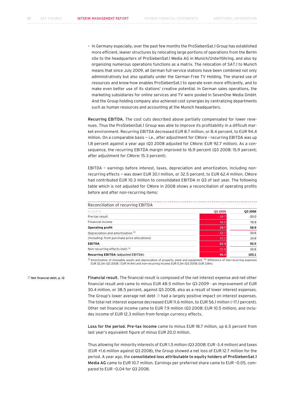In Germany especially, over the past few months the ProSiebenSat.1 Group has established more efficient, leaner structures by relocating large portions of operations from the Berlin site to the headquarters of ProSiebenSat.1 Media AG in Munich/Unterföhring, and also by organizing numerous operations functions as a matrix. The relocation of SAT.1 to Munich means that since July 2009, all German full-service stations have been combined not only administratively but also spatially under the German Free TV Holding. The shared use of resources and know-how enables ProSiebenSat.1 to operate even more efficiently, and to make even better use of its stations' creative potential. In German sales operations, the marketing subsidiaries for online services and TV were pooled in SevenOne Media GmbH. And the Group holding company also achieved cost synergies by centralizing departments such as human resources and accounting at the Munich headquarters.

Recurring EBITDA. The cost cuts described above partially compensated for lower revenues. Thus the ProSiebenSat.1 Group was able to improve its profitability in a difficult market environment. Recurring EBITDA decreased EUR 8.7 million, or 8.4 percent, to EUR 94.4 million. On a comparable basis — i.e., after adjustment for CMore – recurring EBITDA was up 1.8 percent against a year ago (Q3 2008 adjusted for CMore: EUR 92.7 million). As a consequence, the recurring EBITDA margin improved to 16.9 percent (Q3 2008: 15.9 percent; after adjustment for CMore: 15.3 percent).

EBITDA — earnings before interest, taxes, depreciation and amortization, including nonrecurring effects — was down EUR 30.1 million, or 32.5 percent, to EUR 62.4 million. CMore had contributed EUR 10.3 million to consolidated EBITDA in Q3 of last year. The following table which is not adjusted for CMore in 2008 shows a reconciliation of operating profits before and after non-recurring items:

| Reconciliation of recurring EBITDA           |         |         |
|----------------------------------------------|---------|---------|
| In EUR m                                     | Q3 2009 | Q3 2008 |
| Pre-tax result                               | $-18.7$ | $-20.0$ |
| Financial income                             | 48.5    | 78.9    |
| <b>Operating profit</b>                      | 29.7    | 58.9    |
| Depreciation and amortization <sup>(1)</sup> | 32.7    | 33.6    |
| (including: from purchase price allocations) | 13.1    | 14.9    |
| <b>EBITDA</b>                                | 62.4    | 92.5    |
| Non-recurring effects (net) (2)              | 32.0    | 10.6    |
| Recurring EBITDA (adjusted EBITDA)           | 94.4    | 103.1   |

<sup>(1)</sup> Amortization of intangible assets and depreciation of property, plant and equipment. <sup>(2)</sup> Difference of non-recurring expenses<br>EUR 32.3m (Q3 2008 : EUR 14.4m) and non-recurring income EUR 0.3m (Q3 2008: EUR 3.8m).

Financial result. The financial result is composed of the net interest expense and net other financial result and came to minus EUR 48.5 million for Q3 2009 - an improvement of EUR 30.4 million, or 38.5 percent, against Q3 2008, also as a result of lower interest expenses. The Group's lower average net debt  $\overline{a}$  had a largely positive impact on interest expenses. The total net interest expense decreased EUR 11.6 million, to EUR 56.1 million (–17.1 percent). Other net financial income came to EUR 7.9 million (Q3 2008: EUR 10.5 million), and includes income of EUR 12.3 million from foreign currency effects. Net financial debt, p. 12

> Loss for the period. Pre-tax income came to minus EUR 18.7 million, up 6.5 percent from last year's equivalent figure of minus EUR 20.0 million.

> Thus allowing for minority interests of EUR 1.5 million (Q3 2008: EUR -3.4 million) and taxes (EUR +1.6 million against Q3 2008), the Group showed a net loss of EUR 12.7 million for the period. A year ago, the consolidated loss attributable to equity holders of ProSiebenSat.1 Media AG came to EUR 10.7 million. Earnings per preferred share came to EUR –0.05, compared to EUR –0.04 for Q3 2008.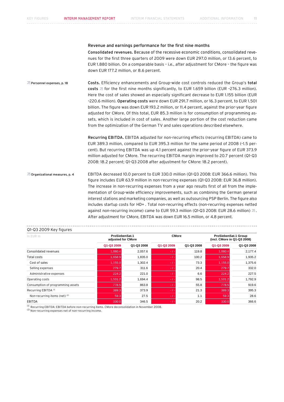## Revenue and earnings performance for the first nine months

Consolidated revenues. Because of the recessive economic conditions, consolidated revenues for the first three quarters of 2009 were down EUR 297.0 million, or 13.6 percent, to EUR 1.880 billion. On a comparable basis – i.e., after adjustment for CMore – the figure was down EUR 177.2 million, or 8.6 percent.

Costs. Efficiency enhancements and Group-wide cost controls reduced the Group's total costs  $\overline{a}$  for the first nine months significantly, to EUR 1.659 billion (EUR -276.3 million). Here the cost of sales showed an especially significant decrease to EUR 1.155 billion (EUR –220.6 million). Operating costs were down EUR 291.7 million, or 16.3 percent, to EUR 1.501 billion. The figure was down EUR 193.2 million, or 11.4 percent, against the prior-year figure adjusted for CMore. Of this total, EUR 85.3 million is for consumption of programming assets, which is included in cost of sales. Another large portion of the cost reduction came from the optimization of the German TV and sales operations described elsewhere. Personnel expenses, p. 18

> Recurring EBITDA. EBITDA adjusted for non-recurring effects (recurring EBITDA) came to EUR 389.3 million, compared to EUR 395.3 million for the same period of 2008 (–1.5 percent). But recurring EBITDA was up 4.1 percent against the prior-year figure of EUR 373.9 million adjusted for CMore. The recurring EBITDA margin improved to 20.7 percent (Q1-Q3 2008: 18.2 percent; Q1-Q3 2008 after adjustment for CMore: 18.2 percent).

EBITDA decreased 10.0 percent to EUR 330.0 million (Q1-Q3 2008: EUR 366.6 million). This figure includes EUR 63.9 million in non-recurring expenses (Q1-Q3 2008: EUR 36.8 million). The increase in non-recurring expenses from a year ago results first of all from the implementation of Group-wide efficiency improvements, such as combining the German general interest stations and marketing companies, as well as outsourcing PSP Berlin. The figure also includes startup costs for HD+ . Total non-recurring effects (non-recurring expenses netted against non-recurring income) came to EUR 59.3 million (Q1-Q3 2008: EUR 28.6 million) a. After adjustment for CMore, EBITDA was down EUR 16.5 million, or 4.8 percent. Organizational measures, p. 4

| In EUR m                          |            | ProSiebenSat.1<br>adjusted for CMore |            | <b>CMore</b> |            | ProSiebenSat.1 Group<br>(incl. CMore in Q1-Q3 2008) |  |
|-----------------------------------|------------|--------------------------------------|------------|--------------|------------|-----------------------------------------------------|--|
|                                   | Q1-Q3 2009 | Q1-Q3 2008                           | Q1-Q3 2009 | Q1-Q3 2008   | Q1-Q3 2009 | Q1-Q3 2008                                          |  |
| Consolidated revenues             | 1,880.4    | 2,057.6                              | $-1 -$     | 119.8        | 1,880.4    | 2,177.4                                             |  |
| Total costs                       | 1,658.9    | 1,835.0                              | $-1-$      | 100.2        | 1,658.9    | 1,935.2                                             |  |
| Cost of sales                     | 1,155.0    | 1,302.4                              | $-1 -$     | 73.3         | 1,155.0    | 1,375.6                                             |  |
| Selling expenses                  | 279.7      | 311.6                                | $-1-$      | 20.4         | 279.7      | 332.0                                               |  |
| Administrative expenses           | 224.2      | 221.0                                | $-1-$      | 6.6          | 224.2      | 227.5                                               |  |
| Operating costs                   | 1,501.2    | 1,694.4                              | $-1 -$     | 98.5         | 1,501.2    | 1,792.9                                             |  |
| Consumption of programming assets | 778.5      | 863.8                                | $-1-$      | 55.8         | 778.5      | 919.6                                               |  |
| Recurring EBITDA <sup>(1)</sup>   | 389.3      | 373.9                                | $-1 -$     | 21.3         | 389.3      | 395.3                                               |  |
| Non-recurring items (net) (2)     | 59.3       | 27.5                                 | $-1 -$     | 1.1          | 59.3       | 28.6                                                |  |
| <b>EBITDA</b>                     | 330.0      | 346.5                                | $-1 -$     | 20.2         | 330.0      | 366.6                                               |  |

## Q1-Q3 2009 Key figures

(1) Recurring EBITDA: EBITDA before non-recurring items. CMore deconsolidation in November 2008.

(2) Non-recurring expenses net of non-recurring income.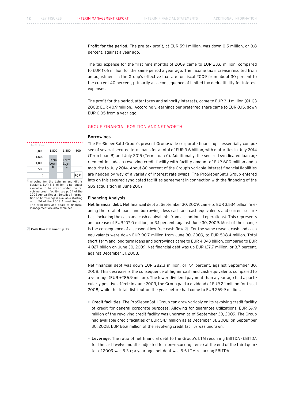Profit for the period. The pre-tax profit, at EUR 59.1 million, was down 0.5 million, or 0.8 percent, against a year ago.

The tax expense for the first nine months of 2009 came to EUR 23.6 million, compared to EUR 17.6 million for the same period a year ago. The income tax increase resulted from an adjustment in the Group's effective tax rate for fiscal 2009 from about 30 percent to the current 40 percent, primarily as a consequence of limited tax deductibility for interest expenses.

The profit for the period, after taxes and minority interests, came to EUR 31.1 million (Q1-Q3 2008: EUR 40.9 million). Accordingly, earnings per preferred share came to EUR 0.15, down EUR 0.05 from a year ago.

## Group Financial Position and Net Worth

## Borrowings

The ProSiebenSat.1 Group's present Group-wide corporate financing is essentially composed of several secured term loans for a total of EUR 3.6 billion, with maturities in July 2014 (Term Loan B) and July 2015 (Term Loan C). Additionally, the secured syndicated loan agreement includes a revolving credit facility with facility amount of EUR 600 million and a maturity to July 2014. About 80 percent of the Group's variable-interest financial liabilities are hedged by way of a variety of interest-rate swaps. The ProSiebenSat.1 Group entered into on this secured syndicated facilities agreement in connection with the financing of the SBS acquisition in June 2007.

## Financing Analysis

Net financial debt. Net financial debt at September 30, 2009, came to EUR 3.534 billion (meaning the total of loans and borrowings less cash and cash equivalents and current securities, including the cash and cash equivalents from discontinued operations). This represents an increase of EUR 107.0 million, or 3.1 percent, against June 30, 2009. Most of the change is the consequence of a seasonal low free cash flow  $\overline{a}$ . For the same reason, cash and cash equivalents were down EUR 90.7 million from June 30, 2009, to EUR 508.4 million. Total short-term and long term loans and borrowings came to EUR 4.043 billion, compared to EUR 4.027 billion on June 30, 2009. Net financial debt was up EUR 127.7 million, or 3.7 percent, against December 31, 2008.

Net financial debt was down EUR 282.3 million, or 7.4 percent, against September 30, 2008. This decrease is the consequence of higher cash and cash equivalents compared to a year ago (EUR +286.9 million). The lower dividend payment than a year ago had a particularly positive effect: In June 2009, the Group paid a dividend of EUR 2.1 million for fiscal 2008, while the total distribution the year before had come to EUR 269.9 million.

- Credit facilities. The ProSiebenSat.1 Group can draw variably on its revolving credit facility of credit for general corporate purposes. Allowing for guarantee utilizations, EUR 59.9 million of the revolving credit facility was undrawn as of September 30, 2009. The Group had available credit facilities of EUR 54.1 million as at December 31, 2008; on September 30, 2008, EUR 66.9 million of the revolving credit facility was undrawn.
- Leverage. The ratio of net financial debt to the Group's LTM recurring EBITDA (EBITDA for the last twelve months adjusted for non-recurring items) at the end of the third quarter of 2009 was 5.3 x; a year ago, net debt was 5.5 LTM recurring EBITDA.

In EUR m . <u>. . . . . . . . . . . . . . . .</u> . . 2,000 1,800 1,800 6001,500 Term Term 1,000 Loan Loan B  $\mathcal{C}$ 500 0  $RCF^{(1)}$ 

<sup>(1)</sup> Allowing for the Lehman and Glitnir<br>defaults, EUR 5.3 million is no longer available to be drawn under the revolving credit facility; see p. 54 of the 2008 Annual Report. Detailed information on borrowings is available starting on p. 54 of the 2008 Annual Report. The principles and goals of financial management are also explained.

**Z** Cash flow statement, p. 13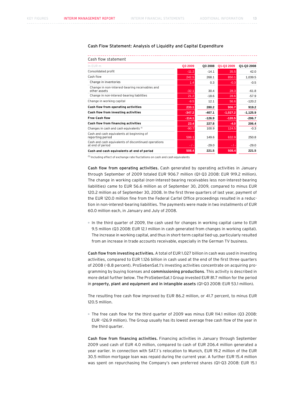## Cash Flow Statement: Analysis of Liquidity and Capital Expenditure

| Cash flow statement                                                      |          |          |            |            |
|--------------------------------------------------------------------------|----------|----------|------------|------------|
| In EUR m                                                                 | Q3 2009  | Q3 2008  | Q1-Q3 2009 | Q1-Q3 2008 |
| Consolidated profit                                                      | $-11.2$  | $-14.1$  | 35.5       | 42.0       |
| Cash flow                                                                | 242.5    | 268.1    | 850.1      | 1,039.5    |
| Change in inventories                                                    | 1.4      | 0.3      | $-0.3$     | $-0.5$     |
| Change in non-interest-bearing receivables and<br>other assets           | $-32.1$  | 30.4     | 28.3       | $-61.8$    |
| Change in non-interest-bearing liabilities                               | 21.2     | $-18.6$  | 28.6       | $-57.9$    |
| Change in working capital                                                | $-9.5$   | 12.1     | 56.6       | $-120.2$   |
| Cash flow from operating activities                                      | 233.1    | 280.2    | 906.7      | 919.2      |
| Cash flow from investing activities                                      | $-347.2$ | $-407.1$ | $-1,027.2$ | $-1,125.9$ |
| <b>Free Cash flow</b>                                                    | $-114.1$ | $-126.9$ | $-120.5$   | $-206.7$   |
| <b>Cash flow from financing activities</b>                               | 23.4     | 227.8    | $-4.0$     | 206.4      |
| Changes in cash and cash equivalents (1)                                 | $-90.7$  | 100.9    | 124.5      | $-0.3$     |
| Cash and cash equivalents at beginning of<br>reporting period            | 599.1    | 149.6    | 632.9      | 250.8      |
| Cash and cash equivalents of discontinued operations<br>at end of period | $-/-$    | $-29.0$  | $-1-$      | $-29.0$    |
| Cash and cash equivalents at end of period                               | 508.4    | 221.5    | 508.4      | 221.5      |

 $<sup>(1)</sup>$  Including effect of exchange rate fluctations on cash and cash equivalents</sup>

Cash flow from operating activities. Cash generated by operating activities in January through September of 2009 totaled EUR 906.7 million (Q1-Q3 2008: EUR 919.2 million). The change in working capital (non-interest-bearing receivables less non-interest-bearing liabilities) came to EUR 56.6 million as of September 30, 2009, compared to minus EUR 120.2 million as of September 30, 2008. In the first three quarters of last year, payment of the EUR 120.0 million fine from the Federal Cartel Office proceedings resulted in a reduction in non-interest-bearing liabilities. The payments were made in two installments of EUR 60.0 million each, in January and July of 2008.

In the third quarter of 2009, the cash used for changes in working capital came to EUR 9.5 million (Q3 2008: EUR 12.1 million in cash generated from changes in working capital). The increase in working capital, and thus in short-term capital tied-up, particularly resulted from an increase in trade accounts receivable, especially in the German TV business.

Cash flow from investing activities. A total of EUR 1.027 billion in cash was used in investing activities, compared to EUR 1.126 billion in cash used at the end of the first three quarters of 2008 (–8.8 percent). ProSiebenSat.1's investing activities concentrate on acquiring programming by buying licenses and commissioning productions. This activity is described in more detail further below. The ProSiebenSat.1 Group invested EUR 81.7 million for the period in property, plant and equipment and in intangible assets (Q1-Q3 2008: EUR 53.1 million).

The resulting free cash flow improved by EUR 86.2 million, or 41.7 percent, to minus EUR 120.5 million.

 The free cash flow for the third quarter of 2009 was minus EUR 114.1 million (Q3 2008: EUR –126.9 million). The Group usually has its lowest average free cash flow of the year in the third quarter.

Cash flow from financing activities. Financing activities in January through September 2009 used cash of EUR 4.0 million, compared to cash of EUR 206.4 million generated a year earlier. In connection with SAT.1´s relocation to Munich, EUR 19.2 million of the EUR 30.5 million mortgage loan was repaid during the current year. A further EUR 15.4 million was spent on repurchasing the Company's own preferred shares (Q1-Q3 2008: EUR 15.1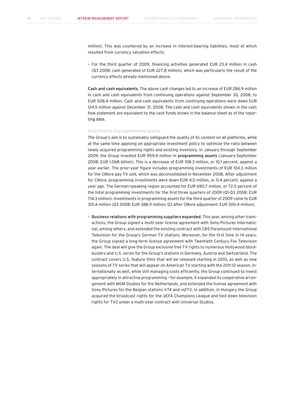million). This was countered by an increase in interest-bearing liabilities, most of which resulted from currency valuation effects.

 For the third quarter of 2009, financing activities generated EUR 23.4 million in cash (Q3 2008: cash generated of EUR 227.8 million), which was particularly the result of the currency effects already mentioned above.

Cash and cash equivalents. The above cash changes led to an increase of EUR 286.9 million in cash and cash equivalents from continuing operations against September 30, 2008, to EUR 508.4 million. Cash and cash equivalents from continuing operations were down EUR 124.5 million against December 31, 2008. The cash and cash equivalents shown in the cash flow statement are equivalent to the cash funds shown in the balance sheet as of the reporting date.

### Investments in programming assets

The Group's aim is to sustainably safeguard the quality of its content on all platforms, while at the same time applying an appropriate investment policy to optimize the ratio between newly acquired programming rights and existing inventory. In January through September 2009, the Group invested EUR 959.4 million in programming assets (January-September 2008: EUR 1.068 billion). This is a decrease of EUR 108.3 million, or 10.1 percent, against a year earlier. The prior-year figure includes programming investments of EUR 104.3 million for the CMore pay TV unit, which was deconsolidated in November 2008. After adjustment for CMore, programming investments were down EUR 4.0 million, or 0.4 percent, against a year ago. The German-speaking region accounted for EUR 690.7 million, or 72.0 percent of the total programming investments for the first three quarters of 2009 (Q1-Q3 2008: EUR 714.3 million). Investments in programming assets for the third quarter of 2009 came to EUR 301.4 million (Q3 2008: EUR 388.9 million; Q3 after CMore adjustment: EUR 300.4 million).

 Business relations with programming suppliers expanded. This year, among other transactions, the Group signed a multi-year license agreement with Sony Pictures International, among others, and extended the existing contract with CBS Paramount International Television for the Group's German TV stations. Moreover, for the first time in 14 years, the Group signed a long-term license agreement with Twentieth Century Fox Television again. The deal will give the Group exclusive free TV rights to numerous Hollywood blockbusters and U.S. series for the Group's stations in Germany, Austria and Switzerland. The contract covers U.S. feature films that will be released starting in 2010, as well as new seasons of TV series that will appear on American TV starting with the 2011-12 season. Internationally as well, while still managing costs efficiently, the Group continued to invest appropriately in attractive programming – for example, it expanded its cooperative arrangement with MGM Studios for the Netherlands, and extended the license agreement with Sony Pictures for the Belgian stations VT4 and vijfTV. In addition, in Hungary the Group acquired the broadcast rights for the UEFA Champions League and tied down television rights for TV2 under a multi-year contract with Universal Studios.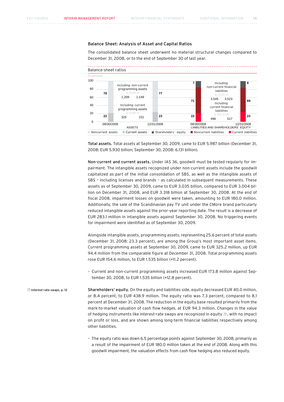## Balance Sheet: Analysis of Asset and Capital Ratios

The consolidated balance sheet underwent no material structural changes compared to December 31, 2008, or to the end of September 30 of last year.



Total assets. Total assets at September 30, 2009, came to EUR 5.987 billion (December 31, 2008: EUR 5.930 billion; September 30, 2008: 6.131 billion).

Non-current and current assets. Under IAS 36, goodwill must be tested regularly for impairment. The intangible assets recognized under non-current assets include the goodwill capitalized as part of the initial consolidation of SBS, as well as the intangible assets of SBS – including licenses and brands – as calculated in subsequent measurements. These assets as of September 30, 2009, came to EUR 3.035 billion, compared to EUR 3.004 billion on December 31, 2008, and EUR 3.318 billion at September 30, 2008. At the end of fiscal 2008, impairment losses on goodwill were taken, amounting to EUR 180.0 million. Additionally, the sale of the Scandinavian pay TV unit under the CMore brand particularly reduced intangible assets against the prior-year reporting date. The result is a decrease of EUR 283.1 million in intangible assets against September 30, 2008. No triggering events for impairment were identified as of September 30, 2009.

Alongside intangible assets, programming assets, representing 25.6 percent of total assets (December 31, 2008: 23.3 percent), are among the Group's most important asset items. Current programming assets at September 30, 2009, came to EUR 325.2 million, up EUR 94.4 million from the comparable figure at December 31, 2008. Total programming assets rose EUR 154.6 million, to EUR 1.535 billion (+11.2 percent).

 Current and non-current programming assets increased EUR 173.8 million against September 30, 2008, to EUR 1.535 billion (+12.8 percent).

Shareholders' equity. On the equity and liabilities side, equity decreased EUR 40.0 million, or 8.4 percent, to EUR 438.9 million. The equity ratio was 7.3 percent, compared to 8.1 percent at December 31, 2008. The reduction in the equity base resulted primarily from the mark-to-market valuation of cash flow hedges, at EUR 94.3 million. Changes in the value of hedging instruments like interest-rate swaps are recognized in equity  $\overline{a}$ , with no impact on profit or loss, and are shown among long-term financial liabilities respectively among other liabilities. Interest-rate swaps, p. 12

> The equity ratio was down 6.5 percentage points against September 30, 2008, primarily as a result of the impairment of EUR 180.0 million taken at the end of 2008. Along with this goodwill impairment, the valuation effects from cash flow hedging also reduced equity.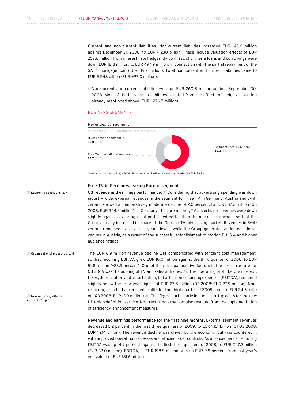Current and non-current liabilities. Non-current liabilities increased EUR 145.0 million against December 31, 2008, to EUR 4.230 billion. These include valuation effects of EUR 257.6 million from interest-rate hedges. By contrast, short-term loans and borrowings were down EUR 18.8 million, to EUR 497.9 million, in connection with the partial repayment of the SAT.1 mortgage loan (EUR –19.2 million). Total non-current and current liabilities came to EUR 5.548 billion (EUR +97.0 million).

 Non-current and current liabilities were up EUR 260.8 million against September 30, 2008. Most of the increase in liabilities resulted from the effects of hedge accounting already mentioned above (EUR +276.7 million).

## Business Segments



(1) Adjusted for CMore in Q3 2008. Revenue contribution of CMore amounted to EUR 38.9m.

## Free TV in German-speaking Europe segment

**Economic conditions, p. 4** 

Q3 revenue and earnings performance.  $\overline{z}$  Considering that advertising spending was down industry-wide, external revenues in the segment for Free TV in Germany, Austria and Switzerland showed a comparatively moderate decline of 2.0 percent, to EUR 337.3 million (Q3 2008: EUR 344.2 million). In Germany, the core market, TV advertising revenues were down slightly against a year ago, but performed better than the market as a whole, so that the Group actually increased its share of the German TV advertising market. Revenues in Switzerland remained stable at last year's levels, while the Group generated an increase in revenues in Austria, as a result of the successful establishment of station PULS 4 and higher audience ratings.

The EUR 6.9 million revenue decline was compensated with efficient cost management, so that recurring EBITDA grew EUR 10.0 million against the third quarter of 2008, to EUR 51.8 million (+23.9 percent). One of the principal positive factors in the cost structure for Q3 2009 was the pooling of TV and sales activities  $\overline{a}$ . The operating profit before interest, taxes, depreciation and amortization, but after non-recurring expenses (EBITDA), remained slightly below the prior-year figure, at EUR 27.5 million (Q3 2008: EUR 27.9 million). Nonrecurring effects that reduced profits for the third quarter of 2009 came to EUR 24.3 million (Q3 2008: EUR 13.9 million)  $\overline{a}$ . This figure particularly includes startup costs for the new HD+ high definition service. Non-recurring expenses also resulted from the implementation of efficiency-enhancement measures. Organizational measures, p. 4 Non-recurring effects in Q3 2009, p. 9

> Revenue and earnings performance for the first nine months. External segment revenues decreased 5.2 percent in the first three quarters of 2009, to EUR 1.151 billion (Q1-Q3 2008: EUR 1.214 billion). The revenue decline was driven by the economy, but was countered it with improved operating processes and efficient cost controls. As a consequence, recurring EBITDA was up 14.9 percent against the first three quarters of 2008, to EUR 247.2 million (EUR 32.0 million). EBITDA, at EUR 198.9 million, was up EUR 9.5 percent from last year's equivalent of EUR 181.6 million.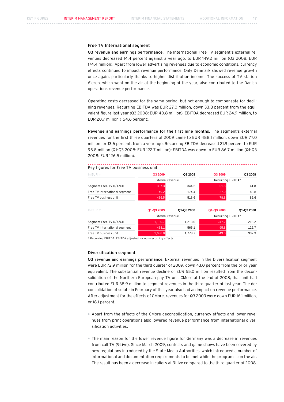## Free TV International segment

Q3 revenue and earnings performance. The International Free TV segment's external revenues decreased 14.4 percent against a year ago, to EUR 149.2 million (Q3 2008: EUR 174.4 million). Apart from lower advertising revenues due to economic conditions, currency effects continued to impact revenue performance. Only Denmark showed revenue growth once again, particularly thanks to higher distribution income. The success of TV station 6'eren, which went on the air at the beginning of the year, also contributed to the Danish operations revenue performance.

Operating costs decreased for the same period, but not enough to compensate for declining revenues. Recurring EBITDA was EUR 27.0 million, down 33.8 percent from the equivalent figure last year (Q3 2008: EUR 40.8 million). EBITDA decreased EUR 24.9 million, to EUR 20.7 million (–54.6 percent).

Revenue and earnings performance for the first nine months. The segment's external revenues for the first three quarters of 2009 came to EUR 488.1 million, down EUR 77.0 million, or 13.6 percent, from a year ago. Recurring EBITDA decreased 21.9 percent to EUR 95.8 million (Q1-Q3 2008: EUR 122.7 million); EBITDA was down to EUR 86.7 million (Q1-Q3 2008: EUR 126.5 million).

## Key figures for Free TV business unit

| In EUR m                      | Q3 2009          | Q3 2008    | Q3 2009           | Q3 2008    |  |
|-------------------------------|------------------|------------|-------------------|------------|--|
|                               | External revenue |            | Recurring EBITDA* |            |  |
| Segment Free TV D/A/CH        | 337.3            | 344.2      | 51.8              | 41.8       |  |
| Free TV International segment | 149.2            | 174.4      | 27.0              | 40.8       |  |
| Free TV business unit         | 486.5            | 518.6      | 78.8              | 82.6       |  |
| In EUR m                      | Q1-Q3 2009       | Q1-Q3 2008 | Q1-Q3 2009        | Q1-Q3 2008 |  |
|                               | External revenue |            | Recurring EBITDA* |            |  |
| Segment Free TV D/A/CH        | 1,150.7          | 1,213.6    | 247.2             | 215.2      |  |
| Free TV International segment | 488.1            | 565.1      | 95.8              | 122.7      |  |
| Free TV business unit         | 1,638.8          | 1,778.7    | 343.0             | 337.9      |  |

\* Recurring EBITDA: EBITDA adjusted for non-recurring effects.

## Diversification segment

Q3 revenue and earnings performance. External revenues in the Diversification segment were EUR 72.9 million for the third quarter of 2009, down 43.0 percent from the prior year equivalent. The substantial revenue decline of EUR 55.0 million resulted from the deconsolidation of the Northern European pay TV unit CMore at the end of 2008; that unit had contributed EUR 38.9 million to segment revenues in the third quarter of last year. The deconsolidation of solute in February of this year also had an impact on revenue performance. After adjustment for the effects of CMore, revenues for Q3 2009 were down EUR 16.1 million, or 18.1 percent.

- Apart from the effects of the CMore deconsolidation, currency effects and lower revenues from print operations also lowered revenue performance from international diversification activities.
- The main reason for the lower revenue figure for Germany was a decrease in revenues from call TV (9Live). Since March 2009, contests and game shows have been covered by new regulations introduced by the State Media Authorities, which introduced a number of informational and documentation requirements to be met while the program is on the air. The result has been a decrease in callers at 9Live compared to the third quarter of 2008.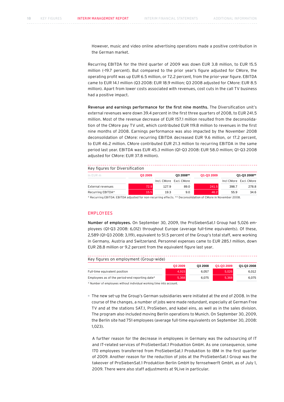However, music and video online advertising operations made a positive contribution in the German market.

Recurring EBITDA for the third quarter of 2009 was down EUR 3.8 million, to EUR 15.5 million (–19.7 percent). But compared to the prior year's figure adjusted for CMore, the operating profit was up EUR 6.5 million, or 72.2 percent, from the prior-year figure. EBITDA came to EUR 14.1 million (Q3 2008: EUR 18.9 million; Q3 2008 adjusted for CMore: EUR 8.5 million). Apart from lower costs associated with revenues, cost cuts in the call TV business had a positive impact.

Revenue and earnings performance for the first nine months. The Diversification unit's external revenues were down 39.4 percent in the first three quarters of 2008, to EUR 241.5 million. Most of the revenue decrease of EUR 157.1 million resulted from the deconsolidation of the CMore pay TV unit, which contributed EUR 119.8 million to revenues in the first nine months of 2008. Earnings performance was also impacted by the November 2008 deconsolidation of CMore: recurring EBITDA decreased EUR 9.6 million, or 17.2 percent, to EUR 46.2 million. CMore contributed EUR 21.3 million to recurring EBITDA in the same period last year. EBITDA was EUR 45.3 million (Q1-Q3 2008: EUR 58.0 million; Q1-Q3 2008 adjusted for CMore: EUR 37.8 million).

| Key figures for Diversification |         |       |                         |            |       |                        |
|---------------------------------|---------|-------|-------------------------|------------|-------|------------------------|
| In EUR m                        | Q3 2009 |       | Q3 2008**               | Q1-Q3 2009 |       | Q1-Q3 2008**           |
|                                 |         |       | Incl. CMore Excl. CMore |            |       | Incl CMore Excl. CMore |
| External revenues               | 72.9    | 127.9 | 89.0                    | 241.5      | 398.7 | 278.8                  |
| Recurring EBITDA*               | 15.5    | 19.3  | 9.0                     | 46.2       | 55.9  | 34.6                   |

\* Recurring EBITDA: EBITDA adjusted for non-recurring effects. \*\* Deconsolidation of CMore in November 2008.

## **EMPLOYEES**

Number of employees. On September 30, 2009, the ProSiebenSat.1 Group had 5,026 employees (Q1-Q3 2008: 6,012) throughout Europe (average full-time equivalents). Of these, 2,589 (Q1-Q3 2008: 3,119), equivalent to 51.5 percent of the Group's total staff, were working in Germany, Austria and Switzerland. Personnel expenses came to EUR 285.1 million, down EUR 28.8 million or 9.2 percent from the equivalent figure last year.

Key figures on employment (Group-wide)

|                                                | Q3 2009 | Q3 2008 | Q1-Q3 2009 | Q1-Q3 2008 |
|------------------------------------------------|---------|---------|------------|------------|
| Full-time equivalent position                  | 4.915   | 6.057   | 5.026      | 6.012      |
| Employees as of the period-end reporting date* | 5.368   | 6.075   | 5.368      | 6.075      |

\* Number of employees without individual working time into account.

 The new set-up the Group's German subsidiaries were initiated at the end of 2008. In the course of the changes, a number of jobs were made redundant, especially at German Free TV and at the stations SAT.1, ProSieben, and kabel eins, as well as in the sales division. The program also included moving Berlin operations to Munich. On September 30, 2009, the Berlin site had 751 employees (average full-time equivalents on September 30, 2008: 1,023).

 A further reason for the decrease in employees in Germany was the outsourcing of IT and IT-related services of ProSiebenSat.1 Produktion GmbH. As one consequence, some 170 employees transferred from ProSiebenSat.1 Produktion to IBM in the first quarter of 2009. Another reason for the reduction of jobs at the ProSiebenSat.1 Group was the takeover of ProSiebenSat.1 Produktion Berlin GmbH by fernsehwerft GmbH, as of July 1, 2009. There were also staff adjustments at 9Live in particular.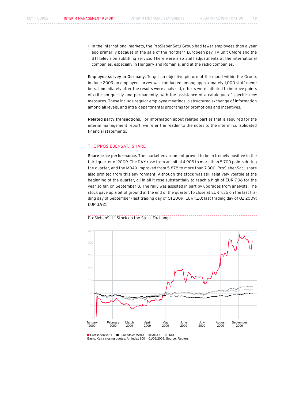In the international markets, the ProSiebenSat.1 Group had fewer employees than a year ago primarily because of the sale of the Northern European pay TV unit CMore and the BTI television subtitling service. There were also staff adjustments at the international companies, especially in Hungary and Romania, and at the radio companies.

Employee survey in Germany. To get an objective picture of the mood within the Group, in June 2009 an employee survey was conducted among approximately 1,000 staff members. Immediately after the results were analyzed, efforts were initiated to improve points of criticism quickly and permanently, with the assistance of a catalogue of specific new measures. These include regular employee meetings, a structured exchange of information among all levels, and intra-departmental programs for promotions and incentives.

Related party transactions. For information about related parties that is required for the interim management report, we refer the reader to the notes to the interim consolidated financial statements.

## The ProSiebenSat.1 Share

Share price performance. The market environment proved to be extremely positive in the third quarter of 2009. The DAX rose from an initial 4,905 to more than 5,700 points during the quarter, and the MDAX improved from 5,878 to more than 7,300. ProSiebenSat.1 share also profited from this environment. Although the stock was still relatively volatile at the beginning of the quarter, all in all it rose substantially to reach a high of EUR 7.96 for the year so far, on September 8. The rally was assisted in part by upgrades from analysts. The stock gave up a bit of ground at the end of the quarter, to close at EUR 7.35 on the last trading day of September (last trading day of Q1 2009: EUR 1.20; last trading day of Q2 2009: EUR 3.92).



### ProSiebenSat.1 Stock on the Stock Exchange

<sup>■</sup> ProSiebenSat.1 ■ Euro Stoxx Media ■ MDAX ■ DAX Basis: Xetra closing quotes, An index 100 = 01/02/2009; Source: Reuters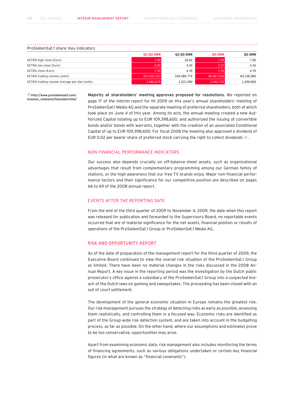## ProSiebenSat.1 share: Key indicators

|                                              | Q1-Q3 2009  | Q1-Q3 2008  | Q3 2009    | Q3 2008    |
|----------------------------------------------|-------------|-------------|------------|------------|
| XETRA high close (Euro)                      | 7.96        | 16.62       | 7.96       | 7.06       |
| XETRA low close (Euro)                       | 0.90        | 4.33        | 3.27       | 4.33       |
| XETRA close (Euro)                           | 7.35        | 4.76        | 7.35       | 4.76       |
| XETRA trading volume (units)                 | 207.020.153 | 234.485.774 | 68.887.828 | 83.136.890 |
| XETRA trading volume average per day (units) | 1,083,875   | 1,221,280   | 1,043,755  | 1.259.650  |

 http://www.prosiebensat1.com/ investor\_relations/finanzberichte/ Majority at shareholders' meeting approves proposed for resolutions. We reported on page 17 of the interim report for H1 2009 on this year's annual shareholders' meeting of ProSiebenSat.1 Media AG and the separate meeting of preferred shareholders, both of which took place on June 4 of this year. Among its acts, the annual meeting created a new Authorized Capital totaling up to EUR 109,398,600, and authorized the issuing of convertible bonds and/or bonds with warrants, together with the creation of an associated Conditional Capital of up to EUR 109,398,600. For fiscal 2008 the meeting also approved a dividend of EUR 0.02 per bearer share of preferred stock carrying the right to collect dividends  $\overline{a}$ .

## Non-financial Performance Indicators

Our success also depends crucially on off-balance-sheet assets, such as organizational advantages that result from complementary programming among our German family of stations, or the high awareness that our free TV brands enjoy. Major non-financial performance factors and their significance for our competitive position are described on pages 66 to 69 of the 2008 annual report.

## Events after the Reporting Date

From the end of the third quarter of 2009 to November 4, 2009, the date when this report was released for publication and forwarded to the Supervisory Board, no reportable events occurred that are of material significance for the net assets, financial position or results of operations of the ProSiebenSat.1 Group or ProSiebenSat.1 Media AG.

## Risk and Opportunity Report

As of the date of preparation of the management report for the third quarter of 2009, the Executive Board continued to view the overall risk situation of the ProSiebenSat.1 Group as limited. There have been no material changes in the risks discussed in the 2008 Annual Report. A key issue in the reporting period was the investigation by the Dutch public prosecutor's office against a subsidiary of the ProSiebenSat.1 Group into a suspected breach of the Dutch laws on gaming and sweepstakes. The proceeding has been closed with an out of court settlement.

The development of the general economic situation in Europe remains the greatest risk. Our risk management pursues the strategy of detecting risks as early as possible, assessing them realistically, and controlling them in a focused way. Economic risks are identified as part of the Group-wide risk detection system, and are taken into account in the budgeting process, as far as possible. On the other hand, where our assumptions and estimates prove to be too conservative, opportunities may arise.

Apart from examining economic data, risk management also includes monitoring the terms of financing agreements, such as various obligations undertaken or certain key financial figures (in what are known as "financial covenants").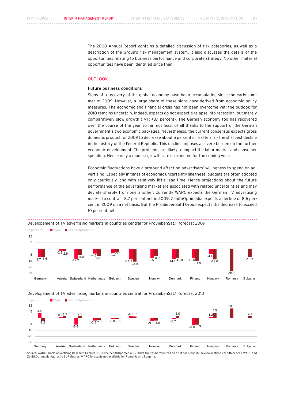The 2008 Annual Report contains a detailed discussion of risk categories, as well as a description of the Group's risk management system. It also discusses the details of the opportunities relating to business performance and corporate strategy. No other material opportunities have been identified since then.

## **OUTLOOK**

## Future business conditions

Signs of a recovery of the global economy have been accumulating since the early summer of 2009. However, a large share of these signs have derived from economic policy measures. The economic and financial crisis has not been overcome yet; the outlook for 2010 remains uncertain. Indeed, experts do not expect a relapse into recession, but merely comparatively slow growth (IMF: +3.1 percent). The German economy too has recovered over the course of the year so far, not least of all thanks to the support of the German government's two economic packages. Nevertheless, the current consensus expects gross domestic product for 2009 to decrease about 5 percent in real terms – the sharpest decline in the history of the Federal Republic. This decline imposes a severe burden on the further economic development. The problems are likely to impact the labor market and consumer spending. Hence only a modest growth rate is expected for the coming year.

Economic fluctuations have a profound effect on advertisers' willingness to spend on advertising. Especially in times of economic uncertainty like these, budgets are often adopted only cautiously, and with relatively little lead time. Hence projections about the future performance of the advertising market are associated with related uncertainties and may deviate sharply from one another. Currently WARC expects the German TV advertising market to contract 8.7 percent net in 2009; ZenithOptimedia expects a decline of 8.6 percent in 2009 on a net basis. But the ProSiebenSat.1 Group expects the decrease to exceed 10 percent net.

In percent WARC ZenithOptimedia 15 5 -5 -15 -25 -35 Germany Austria Switzerland Netherlands Belgium Sweden Norway Denmark Finland Hungary Romania Bulgaria  $-8.7 - 8.6$  $-2.3_{-2.9}$   $-5.0$   $-4.5$ -12.2 -9.5 -15.5  $4.1 - 3.5$ -12.7 -12.0 -12.0 -14.9 -14.1  $-13.0$ -4.4  $-31.0$  $-10.9$  $-5.0$  $-9.5$ 

Developement of TV advertising markets in countries central for ProSiebenSat.1, forecast 2009



Source: WARC (World Advertising Research Center) 09/2009, ZenithOptimedia 10/2009, figures harmonized on a net base, but still several methodical differences. WARC and ZenithOptimedia figures to EUR figures. WARC forecasts not available for Romania and Bulgaria.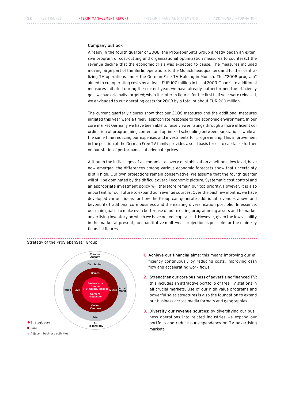## Company outlook

Already in the fourth quarter of 2008, the ProSiebenSat.1 Group already began an extensive program of cost-cutting and organizational optimization measures to counteract the revenue decline that the economic crisis was expected to cause. The measures included moving large part of the Berlin operations to the Munich headquarters and further centralizing TV operations under the German Free TV Holding in Munich. The "2008 program" aimed to cut operating costs by at least EUR 100 million in fiscal 2009. Thanks to additional measures initiated during the current year, we have already outperformed the efficiency goal we had originally targeted; when the interim figures for the first half year were released, we envisaged to cut operating costs for 2009 by a total of about EUR 200 million.

The current quarterly figures show that our 2008 measures and the additional measures initiated this year were a timely, appropriate response to the economic environment. In our core market Germany we have been able to raise viewer ratings through a more efficient coordination of programming content and optimized scheduling between our stations, while at the same time reducing our expenses and investments for programming. This improvement in the position of the German Free TV family provides a solid basis for us to capitalize further on our stations' performance, at adequate prices.

Although the initial signs of a economic recovery or stabilization albeit on a low level, have now emerged, the differences among various economic forecasts show that uncertainty is still high. Our own projections remain conservative. We assume that the fourth quarter will still be dominated by the difficult overall economic picture. Systematic cost control and an appropriate investment policy will therefore remain our top priority. However, it is also important for our future to expand our revenue sources. Over the past few months, we have developed various ideas for how the Group can generate additional revenues above and beyond its traditional core business and the existing diversification portfolio. In essence, our main goal is to make even better use of our existing programming assets and to market advertising inventory on which we have not yet capitalized. However, given the low visibility in the market at present, no quantitative multi-year projection is possible for the main key financial figures.



- **1.** Achieve our financial aims: this means improving our efficiency continuously by reducing costs, improving cash flow and accelerating work flows
- **2.** Strengthen our core business of advertising financed TV: this includes an attractive portfolio of free TV stations in all crucial markets. Use of our high-value programs and powerful sales structures is also the foundation to extend our business across media formats and geographies
- **3.** Diversify our revenue sources: by diversifying our business operations into related industries we expand our portfolio and reduce our dependency on TV advertising markets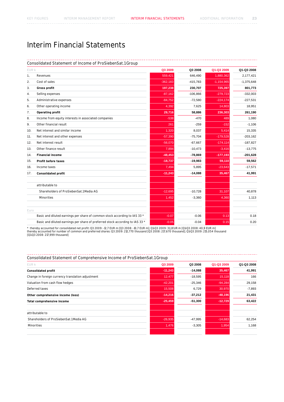**Contractor** 

# Interim Financial Statements

#### . . . . . . . . . . . . . . . . ولايات Consolidated Statement of Income of ProSiebenSat.1 Group

| EUR k |                                                                               | Q3 2009    | Q3 2008    | Q1-Q3 2009   | Q1-Q3 2008   |
|-------|-------------------------------------------------------------------------------|------------|------------|--------------|--------------|
| 1,    | Revenues                                                                      | 559,421    | 646,490    | 1,880,362    | 2,177,421    |
| 2.    | Cost of sales                                                                 | $-362,183$ | $-415,783$ | $-1,154,965$ | $-1,375,648$ |
| 3.    | Gross profit                                                                  | 197,238    | 230,707    | 725,397      | 801,773      |
| 4.    | Selling expenses                                                              | $-87,162$  | $-106,866$ | $-279,723$   | $-332,003$   |
| 5.    | Administrative expenses                                                       | $-84,752$  | $-72,580$  | $-224,174$   | $-227,531$   |
| 6.    | Other operating income                                                        | 4,392      | 7,625      | 14,803       | 18,951       |
| 7.    | Operating profit                                                              | 29,716     | 58,886     | 236,303      | 261,190      |
| 8.    | Income from equity interests in associated companies                          | $-538$     | $-470$     | 489          | 1,080        |
| 9.    | Other financial result                                                        | 261        | $-259$     | $-152$       | $-1,106$     |
| 10.   | Net interest and similar income                                               | 1,320      | 8,037      | 5,414        | 15,335       |
| 11.   | Net interest and other expenses                                               | $-57,390$  | $-75,704$  | $-179,528$   | $-203,162$   |
| 12.   | Net interest result                                                           | $-56,070$  | $-67,667$  | $-174, 114$  | $-187,827$   |
| 13.   | Other finance result                                                          | 7,894      | $-10,473$  | $-3,416$     | $-13,775$    |
| 14.   | <b>Financial income</b>                                                       | $-48,453$  | $-78,869$  | $-177,193$   | $-201,628$   |
| 15.   | <b>Profit before taxes</b>                                                    | $-18,737$  | $-19,983$  | 59,110       | 59,562       |
| 16.   | Income taxes                                                                  | 7,494      | 5,895      | $-23.643$    | $-17,571$    |
| 17.   | <b>Consolidated profit</b>                                                    | $-11,243$  | $-14,088$  | 35,467       | 41,991       |
|       | attributable to                                                               |            |            |              |              |
|       | Shareholders of ProSiebenSat.1 Media AG                                       | $-12,695$  | $-10,728$  | 31,107       | 40,878       |
|       | Minorities                                                                    | 1,452      | $-3,360$   | 4,360        | 1,113        |
| Euro  |                                                                               |            |            |              |              |
|       | Basic and diluted earnings per share of common stock according to IAS 33 *    | $-0.07$    | $-0.06$    | 0.13         | 0.18         |
|       | Basic and diluted earnings per share of preferred stock according to IAS 33 * | $-0.05$    | $-0.04$    | 0.15         | 0.20         |

\* thereby accounted for consolidated net profit: Q3 2009: -12,7 EUR m [Q3 2008: -10,7 EUR m]; Q1-Q3 2009: 31,1 EUR m [Q1-Q3 2008: 40,9 EUR m]<br>thereby accounted for number of common and preferred shares: Q3 2009: 212,770 t

Consolidated Statement of Comprehensive Income of ProSiebenSat.1 Group

| EUR k                                             | Q3 2009   | Q3 2008   | Q1-Q3 2009 | Q1-Q3 2008 |
|---------------------------------------------------|-----------|-----------|------------|------------|
| <b>Consolidated profit</b>                        | $-11,243$ | $-14,088$ | 35,467     | 41,991     |
| Change in foreign currency translation adjustment | 12,477    | $-18,595$ | 15,118     | 166        |
| Valuation from cash flow hedges                   | $-42,201$ | $-25,346$ | $-94,284$  | 29,158     |
| Deferred taxes                                    | 15,508    | 6,729     | 30,970     | $-7,893$   |
| Other comprehensive income (loss)                 | $-14,216$ | $-37,212$ | $-48,196$  | 21,431     |
| Total comprehensive income                        | $-25,459$ | $-51,300$ | $-12,729$  | 63,422     |
| attributable to                                   |           |           |            |            |
| Shareholders of ProSiebenSat.1 Media AG           | $-26,935$ | $-47,995$ | $-14,683$  | 62,254     |
| <b>Minorities</b>                                 | 1,476     | $-3,305$  | 1,954      | 1,168      |
|                                                   |           |           |            |            |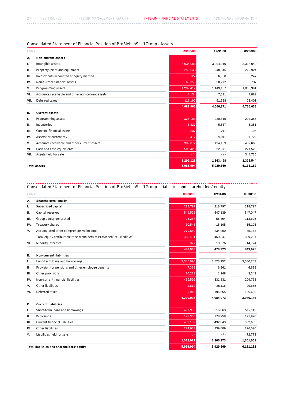#### -------------------------------------------------. . . . . . . . . . . . Consolidated Statement of Financial Position of ProSiebenSat.1 Group - Assets

| EUR k |                                                  | 09/30/09  | 12/31/08  | 09/30/08  |
|-------|--------------------------------------------------|-----------|-----------|-----------|
| А,    | Non-current assets                               |           |           |           |
| ı,    | Intangible assets                                | 3,034,983 | 3,004,010 | 3,318,049 |
| н.    | Property, plant and equipment                    | 258,043   | 248,945   | 272,924   |
| Ш.    | Investments accounted at equity method           | 3,722     | 6,868     | 8,247     |
| IV.   | Non-current financial assets                     | 60,355    | 58,272    | 58,737    |
| v.    | Programming assets                               | 1,209,412 | 1,149,157 | 1,066,391 |
| VI.   | Accounts receivable and other non-current assets | 8,154     | 7,591     | 7,889     |
| VII.  | Deferred taxes                                   | 113,197   | 91,528    | 23,401    |
|       |                                                  | 4,687,866 | 4,566,371 | 4,755,638 |
| В.    | <b>Current assets</b>                            |           |           |           |
| ı.    | Programming assets                               | 325,183   | 230,815   | 294,355   |
| н.    | Inventories                                      | 5,821     | 5,537     | 5,351     |
| III.  | Current financial assets                         | 207       | 211       | 195       |
| IV.   | Assets for current tax                           | 70,417    | 59,911    | 97,722    |
| v.    | Accounts receivable and other current assets     | 389,072   | 434,153   | 407,660   |
| VI.   | Cash and cash equivalents                        | 508,428   | 632,871   | 221,526   |
| VII.  | Assets held for sale                             | $-1$      | $-1-$     | 348,735   |
|       |                                                  | 1,299,128 | 1,363,498 | 1,375,544 |
|       | <b>Total assets</b>                              | 5,986,994 | 5,929,869 | 6,131,182 |

#### a a an ------------------Consolidated Statement of Financial Position of ProSiebenSat.1 Group - Liabilities and shareholders' equity

| EUR k |                                                                      | 09/30/09   | 12/31/08   | 09/30/08  |
|-------|----------------------------------------------------------------------|------------|------------|-----------|
| А,    | Shareholders' equity                                                 |            |            |           |
| ı,    | Subscribed capital                                                   | 218,797    | 218,797    | 218,797   |
| н.    | Capital reserves                                                     | 549,526    | 547.139    | 547,047   |
| Ш.    | Group equity generated                                               | $-25,287$  | $-56,394$  | 113,625   |
| IV.   | Treasury shares                                                      | $-30,545$  | $-15,105$  | $-15,105$ |
| v.    | Accumulated other comprehensive income                               | $-279,880$ | $-234,090$ | $-35,163$ |
|       | Total equity attributable to shareholders of ProSiebenSat.1 Media AG | 432,611    | 460,347    | 829,201   |
| VI.   | Minority interests                                                   | 6,327      | 18,576     | 14,774    |
|       |                                                                      | 438,938    | 478,923    | 843,975   |
| В.    | <b>Non-current liabilities</b>                                       |            |            |           |
| Ι.    | Long-term loans and borrowings                                       | 3,545,096  | 3,523,152  | 3,550,243 |
| Ш     | Provision for pensions and other employee benefits                   | 7,333      | 6,961      | 6,638     |
| III.  | Other provisions                                                     | 10,283     | 1,248      | 3,242     |
| IV.   | Non-current financial liabilities                                    | 469,592    | 331,831    | 209,768   |
| v.    | Other liabilities                                                    | 1,812      | 25,116     | 29,655    |
| VI.   | Deferred taxes                                                       | 195,919    | 196,665    | 186,600   |
|       |                                                                      | 4,230,035  | 4,084,973  | 3,986,146 |
| C.    | <b>Current liabilities</b>                                           |            |            |           |
| ı.    | Short-term loans and borrowings                                      | 497,906    | 516,663    | 517,113   |
| Ш.    | Provisions                                                           | 128,350    | 178,258    | 121,920   |
| III.  | Current financial liabilities                                        | 467,132    | 432,043    | 362,665   |
| IV.   | Other liabilities                                                    | 224,633    | 239,009    | 226,590   |
| V.    | Liabilities held for sale                                            | $-1-$      | $-1$       | 72,773    |
|       |                                                                      | 1,318,021  | 1,365,973  | 1,301,061 |
|       | Total liabilities and shareholders' equity                           | 5,986,994  | 5,929,869  | 6,131,182 |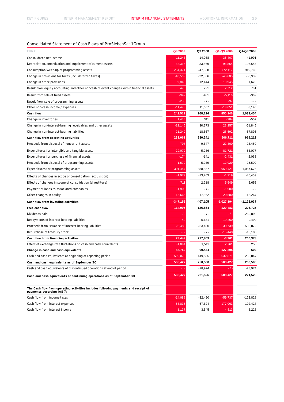#### Consolidated Statement of Cash Flows of ProSiebenSat.1 Group <u>. . . . . . . . . . . . .</u> . . . . . . . . . . . . . . . . . . . . . . . . . . . . . . . . . . . . . . . . . . .

| EUR k                                                                                                           | Q3 2009    | Q3 2008    | Q1-Q3 2009   | Q1-Q3 2008   |
|-----------------------------------------------------------------------------------------------------------------|------------|------------|--------------|--------------|
| Consolidated net income                                                                                         | $-11,243$  | $-14,088$  | 35,467       | 41,991       |
| Depreciation, amortization and impairment of current assets                                                     | 32,366     | 33,869     | 93.854       | 106,548      |
| Consumption/write-up of programming assets                                                                      | 234,321    | 247,338    | 772,117      | 919,769      |
| Change in provisions for taxes [incl. deferred taxes]                                                           | $-10,569$  | $-22,856$  | $-46,685$    | -38,989      |
| Change in other provisions                                                                                      | 9,846      | 12,444     | 10,945       | 1,626        |
| Result from equity accounting and other noncash relevant changes within financial assets                        | 476        | 231        | 2,712        | 731          |
| Result from sale of fixed assets                                                                                | -947       | $-481$     | $-5,116$     | $-362$       |
| Result from sale of programming assets                                                                          | $-253$     | $-/-$      | $-97$        | $-1 -$       |
| Other non-cash income / expenses                                                                                | $-11,478$  | 11,667     | $-13,051$    | 8,140        |
| <b>Cash flow</b>                                                                                                | 242,519    | 268,124    | 850,146      | 1,039,454    |
| Change in inventories                                                                                           | 1,438      | 311        | $-284$       | -502         |
| Change in non-interest-bearing receivables and other assets                                                     | $-32,145$  | 30,373     | 28,257       | $-61,845$    |
| Change in non-interest-bearing liabilities                                                                      | 21,249     | $-18,567$  | 28,592       | $-57,895$    |
| Cash flow from operating activities                                                                             | 233,061    | 280,241    | 906,711      | 919,212      |
| Proceeds from disposal of noncurrent assets                                                                     | 798        | 9,647      | 22,300       | 23,450       |
| Expenditures for intangible and tangible assets                                                                 | $-29,072$  | $-5,286$   | $-81,721$    | $-53,077$    |
| Expenditures for purchase of financial assets                                                                   | $-174$     | $-141$     | $-2,431$     | $-2,063$     |
| Proceeds from disposal of programming assets                                                                    | 1,572      | 5,939      | 12,929       | 25,500       |
| Expenditures for programming assets                                                                             | $-301,447$ | $-388,857$ | $-959,421$   | $-1,067,676$ |
| Effects of changes in scope of consolidation (acquisition)                                                      | -1,979     | $-13,263$  | $-1,919$     | $-45,459$    |
| Effects of changes in scope of consolidation (divestiture)                                                      | 711        | 2,218      | 5,549        | 5,655        |
| Payment of loans to associated companies                                                                        | $-1,900$   | $-$ / $-$  | $-1,900$     | $-$ / $-$    |
| Other changes in equity                                                                                         | $-15,665$  | $-17,362$  | $-20,580$    | $-12,267$    |
| Cash flow from investing activities                                                                             | $-347,156$ | -407,105   | $-1,027,194$ | $-1,125,937$ |
| <b>Free cash flow</b>                                                                                           | $-114,095$ | -126,864   | $-120,483$   | $-206,725$   |
| Dividends paid                                                                                                  | -7         | $-/-$      | - / -        | $-269,899$   |
| Repayments of interest-bearing liabilities                                                                      | $-40$      | $-5,681$   | $-19,260$    | $-9,490$     |
| Proceeds from issuance of interest bearing liabilities                                                          | 23,489     | 233,490    | 30,739       | 500,872      |
| Repurchase of treasury stock                                                                                    | - 1        | $-/-$      | $-15,440$    | $-15,105$    |
| Cash flow from financing activities                                                                             | 23,449     | 227,809    | $-3,961$     | 206,378      |
| Effect of exchange rate fluctations on cash and cash equivalents                                                | $-1,894$   | 1,511      | 2,761        | 255          |
| Change in cash and cash equivalents                                                                             | $-88,752$  | 99,434     | $-127,205$   | -602         |
| Cash and cash equivalents at beginning of reporting period                                                      | 599,073    | 149,555    | 632,871      | 250.847      |
| Cash and cash equivalents as of September 30                                                                    | 508,427    | 250,500    | 508,427      | 250,500      |
| Cash and cash equivalents of discontinued operations at end of period                                           | - / -      | $-28,974$  | - / -        | $-28,974$    |
| Cash and cash equivalents of continuing operations as of September 30                                           | 508,427    | 221,526    | 508,427      | 221,526      |
| The Cash flow from operating activities includes following payments and receipt of<br>payments according IAS 7: |            |            |              |              |
| Cash flow from income taxes                                                                                     | $-14,088$  | $-32,490$  | $-59,737$    | $-123,828$   |
| Cash flow from interest expenses                                                                                | $-53,835$  | $-67,624$  | $-177,063$   | $-192,427$   |
| Cash flow from interest income                                                                                  | 1,137      | 3,545      | 4,513        | 8,223        |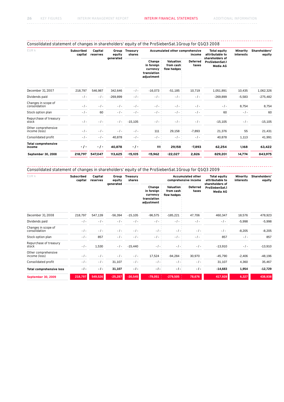------------

. . . . . . . . . .

#### . . . . . . . . . . . . . . . . . . . -----------------------------وكالأكاب وبالأبالات Consolidated statement of changes in shareholders' equity of the ProSiebenSat.1 Group for Q1-Q3 2008

| EUR k                                | <b>Subscribed</b><br>capital | Capital<br>reserves | Group<br>equity | <b>Treasury</b><br>shares | Accumulated other comprehensive<br><b>Total equity</b><br>attributable to<br>income<br>shareholders of |                                       |                          |                                   | Minority<br>interests | Shareholders'<br>equity |
|--------------------------------------|------------------------------|---------------------|-----------------|---------------------------|--------------------------------------------------------------------------------------------------------|---------------------------------------|--------------------------|-----------------------------------|-----------------------|-------------------------|
|                                      |                              |                     | generated       |                           | Change<br>in foreign<br>currency<br>translation<br>adjustment                                          | Valuation<br>from cash<br>flow hedges | <b>Deferred</b><br>taxes | ProSiebenSat.1<br><b>Media AG</b> |                       |                         |
| December 31, 2007                    | 218,797                      | 546,987             | 342,646         | $-1-$                     | $-16,073$                                                                                              | $-51,185$                             | 10,719                   | 1,051,891                         | 10,435                | 1,062,326               |
| Dividends paid                       | $-1$                         | $-1$                | $-269,899$      | $-$ / $-$                 | $-1 -$                                                                                                 | $-1 -$                                | $-$ / $-$                | $-269,899$                        | $-5,583$              | $-275,482$              |
| Changes in scope of<br>consolidation | $-1 -$                       | $-1 -$              | $-1 -$          | $-1$                      | $-1$ -                                                                                                 | $-1 -$                                | $-1-$                    | $-1-$                             | 8,754                 | 8,754                   |
| Stock option plan                    | $-1$ -                       | 60                  | $-1 -$          | $-1-$                     | $-/-$                                                                                                  | $-/-$                                 | $-1 -$                   | 60                                | $-1$                  | 60                      |
| Repurchase of treasury<br>stock      | $-1 -$                       | $-1 -$              | $-1 -$          | $-15,105$                 | $-/-$                                                                                                  | $-/-$                                 | $-1-$                    | $-15,105$                         | $-1$ -                | $-15,105$               |
| Other comprehensive<br>income (loss) | $-1 -$                       | $-1 -$              | $-1-$           | $-1-$                     | 111                                                                                                    | 29,158                                | $-7,893$                 | 21,376                            | 55                    | 21,431                  |
| Consolidated profit                  | $-1 -$                       | $-1-$               | 40,878          | $-1$ -                    | $-/-$                                                                                                  | $-1 -$                                | $-1 -$                   | 40,878                            | 1,113                 | 41,991                  |
| <b>Total comprehensive</b><br>income | $-1-$                        | $\cdot$ / $\cdot$   | 40,878          | $-1-$                     | 111                                                                                                    | 29,158                                | $-7,893$                 | 62,254                            | 1,168                 | 63,422                  |
| September 30, 2008                   | 218,797                      | 547,047             | 113,625         | $-15,105$                 | $-15,962$                                                                                              | $-22,027$                             | 2,826                    | 829,201                           | 14,774                | 843,975                 |

Consolidated statement of changes in shareholders' equity of the ProSiebenSat.1 Group for Q1-Q3 2009 

| EUR k                                | <b>Subscribed</b><br>capital | Capital<br>reserves | Group<br>equity | <b>Treasury</b><br>shares | <b>Accumulated other</b><br><b>Total equity</b><br>attributable to<br>comprehensive income<br>shareholders of |                                              |                          |                                   | Minority<br>interests | Shareholders'<br>equity |
|--------------------------------------|------------------------------|---------------------|-----------------|---------------------------|---------------------------------------------------------------------------------------------------------------|----------------------------------------------|--------------------------|-----------------------------------|-----------------------|-------------------------|
|                                      |                              |                     | generated       |                           | Change<br>in foreign<br>currency<br>translation<br>adjustment                                                 | <b>Valuation</b><br>from cash<br>flow hedges | <b>Deferred</b><br>taxes | ProSiebenSat.1<br><b>Media AG</b> |                       |                         |
| December 31, 2008                    | 218,797                      | 547,139             | $-56,394$       | $-15,105$                 | $-96,575$                                                                                                     | $-185,221$                                   | 47,706                   | 460,347                           | 18,576                | 478,923                 |
| Dividends paid                       | $-1$                         | $-1 -$              | $-1-$           | $-1-$                     | $-/-$                                                                                                         | $-1 -$                                       | $-1$                     | $-1$ -                            | $-5,998$              | $-5,998$                |
| Changes in scope of<br>consolidation | $-1 -$                       | $-1 -$              | $-1-$           | $-1-$                     | $-$ / $-$                                                                                                     | $-$ / $-$                                    | $-1-$                    | $-1-$                             | $-8,205$              | $-8,205$                |
| Stock option plan                    | $-1 -$                       | 857                 | $-1-$           | $-1-$                     | $-/-$                                                                                                         | $-$ / $-$                                    | $-1 -$                   | 857                               | $-1$ -                | 857                     |
| Repurchase of treasury<br>stock      | $-1$                         | 1,530               | $-1$            | $-15,440$                 | $-/-$                                                                                                         | $-1 -$                                       | $-1-$                    | $-13,910$                         | $-1$ -                | $-13,910$               |
| Other comprehensive<br>income (loss) | $-1-$                        | $-/-$               | $-1-$           | $-$ / $-$                 | 17,524                                                                                                        | $-94,284$                                    | 30,970                   | $-45,790$                         | $-2,406$              | $-48,196$               |
| Consolidated profit                  | $-1$ -                       | $-/-$               | 31,107          | $-$ / $-$                 | $-1 -$                                                                                                        | $-1 -$                                       | $-1-$                    | 31,107                            | 4,360                 | 35,467                  |
| <b>Total comprehensive loss</b>      | $-I -$                       | -1-                 | 31,107          | $-I -$                    | $-1-$                                                                                                         | $-I -$                                       | $-I -$                   | $-14,683$                         | 1,954                 | $-12,729$               |
| <b>September 30, 2009</b>            | 218,797                      | 549,526             | $-25,287$       | $-30,545$                 | $-79,051$                                                                                                     | $-279,505$                                   | 78,676                   | 417,928                           | 6,327                 | 438,938                 |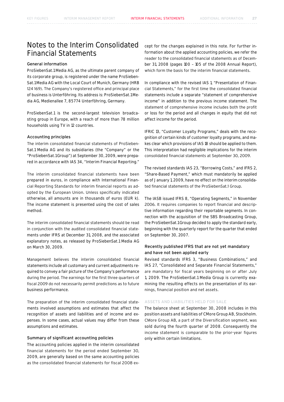# Notes to the Interim Consolidated Financial Statements

## General information

ProSiebenSat.1 Media AG, as the ultimate parent company of its corporate group, is registered under the name ProSieben-Sat.1 Media AG with the Local Court of Munich, Germany (HRB 124 169). The Company's registered office and principal place of business is Unterföhring. Its address is: ProSiebenSat.1 Media AG, Medienallee 7, 85774 Unterföhring, Germany.

ProSiebenSat.1 is the second-largest television broadcasting group in Europe, with a reach of more than 78 million households using TV in 12 countries.

## Accounting principles

The interim consolidated financial statements of ProSieben-Sat.1 Media AG and its subsidiaries (the "Company" or the "ProSiebenSat.1 Group") at September 30, 2009, were prepared in accordance with IAS 34, "Interim Financial Reporting."

The interim consolidated financial statements have been prepared in euros, in compliance with International Financial Reporting Standards for interim financial reports as adopted by the European Union. Unless specifically indicated otherwise, all amounts are in thousands of euros (EUR k). The income statement is presented using the cost of sales method.

The interim consolidated financial statements should be read in conjunction with the audited consolidated financial statements under IFRS at December 31, 2008, and the associated explanatory notes, as released by ProSiebenSat.1 Media AG on March 30, 2009.

Management believes the interim consolidated financial statements include all customary and current adjustments required to convey a fair picture of the Company's performance during the period. The earnings for the first three quarters of fiscal 2009 do not necessarily permit predictions as to future business performance.

The preparation of the interim consolidated financial statements involved assumptions and estimates that affect the recognition of assets and liabilities and of income and expenses. In some cases, actual values may differ from these assumptions and estimates.

## Summary of significant accounting policies

The accounting policies applied in the interim consolidated financial statements for the period ended September 30, 2009, are generally based on the same accounting policies as the consolidated financial statements for fiscal 2008 ex-

cept for the changes explained in this note. For further information about the applied accounting policies, we refer the reader to the consolidated financial statements as of December 31, 2008 (pages 100 – 105 of the 2008 Annual Report), which form the basis for the interim financial statements.

In compliance with the revised IAS 1, "Presentation of Financial Statements," for the first time the consolidated financial statements include a separate "statement of comprehensive income" in addition to the previous income statement. The statement of comprehensive income includes both the profit or loss for the period and all changes in equity that did not affect income for the period.

IFRIC 13, "Customer Loyalty Programs," deals with the recognition of certain kinds of customer loyalty programs, and makes clear which provisions of IAS 18 should be applied to them. This interpretation had negligible implications for the interim consolidated financial statements at September 30, 2009.

The revised standards IAS 23, "Borrowing Costs," and IFRS 2, "Share-Based Payment," which must mandatorily be applied as of January 1, 2009, have no effect on the interim consolidated financial statements of the ProSiebenSat.1 Group.

The IASB issued IFRS 8, "Operating Segments," in November 2006. It requires companies to report financial and descriptive information regarding their reportable segments. In connection with the acquisition of the SBS Broadcasting Group, the ProSiebenSat.1 Group decided to apply the standard early, beginning with the quarterly report for the quarter that ended on September 30, 2007.

## Recently published IFRS that are not yet mandatory and have not been applied early

Revised standards IFRS 3, "Business Combinations," and IAS 27, "Consolidated and Separate Financial Statements," are mandatory for fiscal years beginning on or after July 1, 2009. The ProSiebenSat.1 Media Group is currently examining the resulting effects on the presentation of its earnings, financial position and net assets.

## Assets and liabilities held for sale

The balance sheet at September 30, 2008 includes in this position assets and liabilities of CMore Group AB, Stockholm. CMore Group AB, a part of the Diversification segment, was sold during the fourth quarter of 2008. Consequently the income statement is comparable to the prior-year figures only within certain limitations.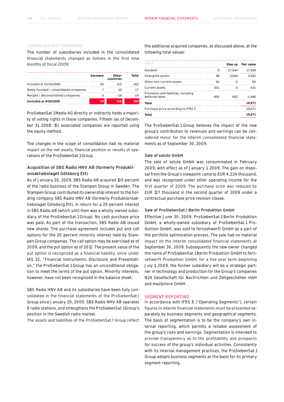## Consolidated companies

The number of subsidiaries included in the consolidated financial statements changed as follows in the first nine months of fiscal 2009:

|                                        | Germany | Other<br>countries | Total |
|----------------------------------------|---------|--------------------|-------|
| Included at 12/31/2009                 | 50      | 112                | 162   |
| Newly founded / consolidated companies |         | 10                 | 17    |
| Merged / deconsolidated companies      | -3      | $-16$              | $-19$ |
| <b>Included at 9/30/2009</b>           | 54      | 106                | 160   |

ProSiebenSat.1 Media AG directly or indirectly holds a majority of voting rights in these companies. Fifteen (as of December 31, 2008: 15) associated companies are reported using the equity method.

The changes in the scope of consolidation had no material impact on the net assets, financial position or results of operations of the ProSiebenSat.1 Group.

## Acquisition of SBS Radio HNV AB (formerly Produktionsaktiebolaget Göteborg Ett)

As of January 20, 2009, SBS Radio AB acquired 100 percent of the radio business of the Stampen Group in Sweden. The Stampen Group contributed its ownership interest to the holding company SBS Radio HNV AB (formerly Produktionsaktiebolaget Göteborg Ett), in return for a 20 percent interest in SBS Radio AB (which until then was a wholly-owned subsidiary of the ProSiebenSat.1 Group). No cash purchase price was paid. As part of the transaction, SBS Radio AB issued new shares. The purchase agreement includes put and call options for the 20 percent minority interest held by Stampen Group companies. The call option may be exercised as of 2009, and the put option as of 2012. The present value of the put option is recognized as a financial liability, since under IAS 32, "Financial Instruments: Disclosure and Presentation," the ProSiebenSat.1 Group has an unconditional obligation to meet the terms of the put option. Minority interests, however, have not been recognized in the balance sheet.

SBS Radio HNV AB and its subsidiaries have been fully consolidated in the financial statements of the ProSiebenSat.1 Group since January 20, 2009. SBS Radio NHV AB operates 9 radio stations, and strengthens the ProSiebenSat.1 Group's position in the Swedish radio market.

The assets and liabilities of the ProSiebenSat.1 Group reflect

the additional acquired companies, as discussed above, at the following total values:

|        | Step up | <b>Fair value</b> |
|--------|---------|-------------------|
| 0      | 17,034  | 17,034            |
| 98     | 3.544   | 3,642             |
| 50     | 0       | 50                |
| 531    | 0       | 531               |
| $-654$ | $-932$  | -1.586            |
|        |         | 19,671            |
|        |         | 19,671            |
|        |         | 19,671            |
|        |         |                   |

The ProSiebenSat.1 Group believes the impact of the new group's contribution to revenues and earnings can be considered minor for the interim consolidated financial statements as of September 30, 2009.

## Sale of solute GmbH

The sale of solute GmbH was consummated in February 2009, with effect as of January 1, 2009. The gain on disposal from the Group's viewpoint came to EUR 4,224 thousand, and was recognized under other operating income for the first quarter of 2009. The purchase price was reduced by EUR 127 thousand in the second quarter of 2009 under a contractual purchase price revision clause.

### Sale of ProSiebenSat.1 Berlin Produktion GmbH

Effective June 30, 2009, ProSiebenSat.1 Berlin Produktion GmbH, a wholly-owned subsidiary of ProSiebenSat.1 Produktion GmbH, was sold to fernsehwerft GmbH as a part of the portfolio optimization process. The sale had no material impact on the interim consolidated financial statements at September 30, 2009. Subsequently the new owner changed the name of ProSiebenSat.1 Berlin Produktion GmbH to fernsehwerft Produktion GmbH; for a five-year term beginning July 1, 2009, the former subsidiary will be a strategic partner in technology and production for the Group's companies N24 Gesellschaft für Nachrichten und Zeitgeschehen mbH and maz&more GmbH.

## Segment reporting

In accordance with IFRS 8 ("Operating Segments"), certain figures in interim financial statements must be presented separately by business segments and geographical segments. The basis of segmentation is to be the company's own internal reporting, which permits a reliable assessment of the group's risks and earnings. Segmentation is intended to provide transparency as to the profitability and prospects for success of the group's individual activities. Consistently with its internal management practices, the ProSiebenSat.1 Group adopts business segments as the basis for its primary segment reporting.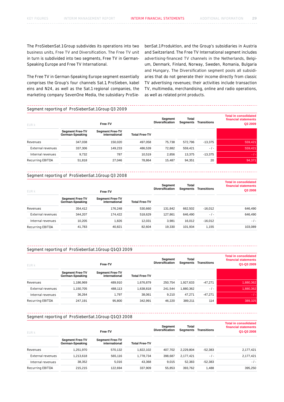The ProSiebenSat.1 Group subdivides its operations into two business units, Free TV and Diversification. The Free TV unit in turn is subdivided into two segments, Free TV in German-Speaking Europe and Free TV International.

The Free TV in German-Speaking Europe segment essentially comprises the Group's four channels Sat.1, ProSieben, kabel eins and N24, as well as the Sat.1 regional companies, the marketing company SevenOne Media, the subsidiary ProSiebenSat.1 Produktion, and the Group's subsidiaries in Austria and Switzerland. The Free TV International segment includes advertising-financed TV channels in the Netherlands, Belgium, Denmark, Finland, Norway, Sweden, Romania, Bulgaria and Hungary. The Diversification segment pools all subsidiaries that do not generate their income directly from classic TV advertising revenues; their activities include transaction TV, multimedia, merchandising, online and radio operations, as well as related print products.

## Segment reporting of ProSiebenSat.1 Group Q3 2009

| <b>EUR k</b>      |                                           | Free-TV                                 |                      | Seament<br><b>Diversification</b> | Total<br>Segments | <b>Transitions</b> | <b>Total in consolidated</b><br>financial statements<br>Q3 2009 |
|-------------------|-------------------------------------------|-----------------------------------------|----------------------|-----------------------------------|-------------------|--------------------|-----------------------------------------------------------------|
|                   | <b>Segment Free-TV</b><br>German-Speaking | <b>Segment Free-TV</b><br>international | <b>Total Free-TV</b> |                                   |                   |                    |                                                                 |
| Revenues          | 347.038                                   | 150.020                                 | 497.058              | 75.738                            | 572.796           | $-13,375$          | 559,421                                                         |
| External revenues | 337.306                                   | 149.233                                 | 486.539              | 72.882                            | 559.421           | $-1-$              | 559,421                                                         |
| Internal revenues | 9.732                                     | 787                                     | 10.519               | 2.856                             | 13.375            | $-13,375$          | $-1-$                                                           |
| Recurring EBITDA  | 51,818                                    | 27.046                                  | 78.864               | 15.487                            | 94.351            | 20                 | 94,371                                                          |

## Segment reporting of ProSiebenSat.1 Group Q3 2008

| <b>EUR k</b>      |                                           | Free-TV                                 |                      | Segment<br><b>Diversification</b> | Total<br>Segments | <b>Transitions</b> | <b>Total in consolidated</b><br>financial statements<br>Q3 2008 |
|-------------------|-------------------------------------------|-----------------------------------------|----------------------|-----------------------------------|-------------------|--------------------|-----------------------------------------------------------------|
|                   | <b>Segment Free-TV</b><br>German-Speaking | <b>Segment Free-TV</b><br>international | <b>Total Free-TV</b> |                                   |                   |                    |                                                                 |
| Revenues          | 354.412                                   | 176.248                                 | 530.660              | 131.842                           | 662.502           | $-16.012$          | 646.490                                                         |
| External revenues | 344.207                                   | 174.422                                 | 518.629              | 127.861                           | 646.490           | $-/-$              | 646.490                                                         |
| Internal revenues | 10.205                                    | 1.826                                   | 12.031               | 3.981                             | 16.012            | $-16.012$          | $-1-$                                                           |
| Recurring EBITDA  | 41,783                                    | 40,821                                  | 82,604               | 19.330                            | 101,934           | 1,155              | 103,089                                                         |

## Segment reporting of ProSiebenSat.1 Group Q1-Q3 2009

| <b>EUR k</b>             |                                           | Free-TV                                 |                      | Seament<br><b>Diversification</b> | Total<br>Segments | <b>Transitions</b> | <b>Total in consolidated</b><br>financial statements<br>Q1-Q3 2009 |
|--------------------------|-------------------------------------------|-----------------------------------------|----------------------|-----------------------------------|-------------------|--------------------|--------------------------------------------------------------------|
|                          | <b>Segment Free-TV</b><br>German-Speaking | <b>Segment Free-TV</b><br>international | <b>Total Free-TV</b> |                                   |                   |                    |                                                                    |
| Revenues                 | 1.186.969                                 | 489.910                                 | 1.676.879            | 250.754                           | 1.927.633         | $-47.271$          | 1,880,362                                                          |
| <b>External revenues</b> | 1.150.705                                 | 488.113                                 | 1,638,818            | 241,544                           | 1,880,362         | $-1$ -             | 1,880,362                                                          |
| Internal revenues        | 36.264                                    | 1.797                                   | 38.061               | 9.210                             | 47.271            | $-47.271$          | $-1-$                                                              |
| Recurring EBITDA         | 247.191                                   | 95,800                                  | 342.991              | 46.220                            | 389.211           | 114                | 389,325                                                            |

## Segment reporting of ProSiebenSat.1 Group Q1-Q3 2008

| EUR k             | Free-TV                                   |                                         |                      | Segment<br><b>Diversification</b> | Total<br>Segments | <b>Transitions</b> | <b>Total in consolidated</b><br>financial statements<br>Q1-Q3 2008 |
|-------------------|-------------------------------------------|-----------------------------------------|----------------------|-----------------------------------|-------------------|--------------------|--------------------------------------------------------------------|
|                   | <b>Segment Free-TV</b><br>German-Speaking | <b>Segment Free-TV</b><br>international | <b>Total Free-TV</b> |                                   |                   |                    |                                                                    |
| Revenues          | 1.251.970                                 | 570,132                                 | 1.822.102            | 407.702                           | 2.229.804         | $-52,383$          | 2,177,421                                                          |
| External revenues | 1.213.618                                 | 565.116                                 | 1.778.734            | 398.687                           | 2.177.421         | $-1-$              | 2.177.421                                                          |
| Internal revenues | 38,352                                    | 5.016                                   | 43.368               | 9.015                             | 52,383            | $-52,383$          | $-1-$                                                              |
| Recurring EBITDA  | 215.215                                   | 122.694                                 | 337.909              | 55.853                            | 393.762           | <b>1.488</b>       | 395,250                                                            |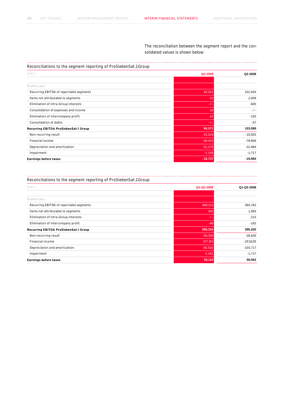The reconciliation between the segment report and the consolidated values is shown below:

## Reconciliations to the segment reporting of ProSiebenSat.1 Group

| EUR k                                   | Q3 2009   | Q3 2008   |
|-----------------------------------------|-----------|-----------|
|                                         |           |           |
| Profit/Loss                             |           |           |
| Recurring EBITDA of reportable segments | 94,351    | 101,934   |
| Items not attributable to segments      | 32        | 2,009     |
| Elimination of intra-Group interests    | $-1-$     | $-605$    |
| Consolidation of expenses and income    | 10        | $-1-$     |
| Elimination of intercompany profit      | $-22$     | $-192$    |
| Consolidation of debts                  | -7-       | $-57$     |
| Recurring EBITDA ProSiebenSat.1 Group   | 94,371    | 103,089   |
| Non-recurring result                    | $-32,019$ | $-10,602$ |
| Financial income                        | $-48,453$ | $-78,869$ |
| Depreciation and amortization           | $-31,478$ | $-31,884$ |
| Impairment                              | $-1,158$  | $-1,717$  |
| <b>Earnings before taxes</b>            | $-18,737$ | -19,983   |

## Reconciliations to the segment reporting of ProSiebenSat.1 Group

| <b>EUR k</b>                            | Q1-Q3 2009 | Q1-Q3 2008 |
|-----------------------------------------|------------|------------|
|                                         |            |            |
| Profit/Loss                             |            |            |
| Recurring EBITDA of reportable segments | 389,211    | 393,762    |
| Items not attributable to segments      | 202        | 1,893      |
| Elimination of intra-Group interests    | $-1-$      | $-213$     |
| Elimination of intercompany profit      | $-88$      | $-192$     |
| Recurring EBITDA ProSiebenSat.1 Group   | 389,325    | 395,250    |
| Non-recurring result                    | $-59,309$  | $-28,626$  |
| Financial income                        | $-177,193$ | $-201,628$ |
| Depreciation and amortization           | $-92,532$  | $-103,717$ |
| Impairment                              | $-1,181$   | $-1,717$   |
| <b>Earnings before taxes</b>            | 59,110     | 59,562     |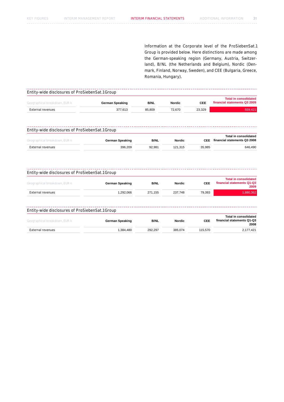Information at the Corporate level of the ProSiebenSat.1 Group is provided below. Here distinctions are made among the German-speaking region (Germany, Austria, Switzerland), B/NL (the Netherlands and Belgium), Nordic (Denmark, Finland, Norway, Sweden), and CEE (Bulgaria, Greece, Romania, Hungary).

### $\begin{array}{cccccccccc} \bot & \bot & \bot & \bot & \bot & \bot & \bot & \bot \end{array}$ Entity-wide disclosures of ProSiebenSat.1 Group

| Geographical breakdown, EUR k | German Speaking | <b>B/NL</b> | <b>Nordic</b> | <b>CEE</b> | <b>Total in consolidated</b><br>financial statements Q3 2009 |
|-------------------------------|-----------------|-------------|---------------|------------|--------------------------------------------------------------|
| External revenues             | 377.613         | 85.809      | 72.670        | 23.329     | 559.421                                                      |

### . . . . . . . . . . Entity-wide disclosures of ProSiebenSat.1 Group

| Geographical breakdown, EUR k | German Speaking | <b>B/NL</b> | <b>Nordic</b> | CEE.   | Total in consolidated<br>financial statements Q3 2008 |
|-------------------------------|-----------------|-------------|---------------|--------|-------------------------------------------------------|
| External revenues             | 396,209         | 92.981      | 121.315       | 35.985 | 646,490                                               |

| Entity-wide disclosures of ProSiebenSat.1 Group |                        |             |               |            |                                                                    |
|-------------------------------------------------|------------------------|-------------|---------------|------------|--------------------------------------------------------------------|
| Geographical breakdown, EUR k                   | <b>German Speaking</b> | <b>B/NL</b> | <b>Nordic</b> | <b>CEE</b> | <b>Total in consolidated</b><br>financial statements Q1-Q3<br>2009 |
| External revenues                               | 1.292.066              | 271.155     | 237.748       | 79.393     | 1,880,362                                                          |
| Entity-wide disclosures of ProSiebenSat.1 Group |                        |             |               |            |                                                                    |
| Geographical breakdown, EUR k                   | <b>German Speaking</b> | <b>B/NL</b> | <b>Nordic</b> | <b>CEE</b> | Total in consolidated<br>financial statements Q1-Q3<br>2008        |

External revenues 1,384,480 292,297 385,074 115,570 2,177,421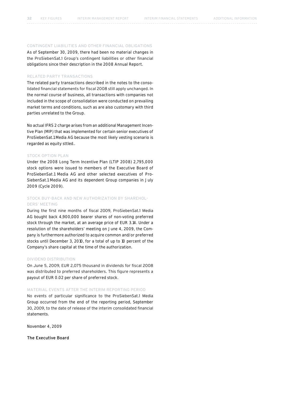## Contingent liabilities and other financial obligations

As of September 30, 2009, there had been no material changes in the ProSiebenSat.1 Group's contingent liabilities or other financial obligations since their description in the 2008 Annual Report.

## Related party transactions

The related party transactions described in the notes to the consolidated financial statements for fiscal 2008 still apply unchanged. In the normal course of business, all transactions with companies not included in the scope of consolidation were conducted on prevailing market terms and conditions, such as are also customary with third parties unrelated to the Group.

No actual IFRS 2 charge arises from an additional Management Incentive Plan (MIP) that was implemented for certain senior executives of ProSiebenSat.1 Media AG because the most likely vesting scenario is regarded as equity sttled..

## Stock option plan

Under the 2008 Long Term Incentive Plan (LTIP 2008) 2,795,000 stock options were issued to members of the Executive Board of ProSiebenSat.1 Media AG and other selected executives of Pro-SiebenSat.1 Media AG and its dependent Group companies in July 2009 (Cycle 2009).

## Stock buy-back and new authorization by shareholders' meeting

During the first nine months of fiscal 2009, ProSiebenSat.1 Media AG bought back 4,900,000 bearer shares of non-voting preferred stock through the market, at an average price of EUR 3.14. Under a resolution of the shareholders' meeting on June 4, 2009, the Company is furthermore authorized to acquire common and/or preferred stocks until December 3, 2010, for a total of up to 10 percent of the Company's share capital at the time of the authorization.

## Dividend distribution

On June 5, 2009, EUR 2,075 thousand in dividends for fiscal 2008 was distributed to preferred shareholders. This figure represents a payout of EUR 0.02 per share of preferred stock.

## Material events after the interim reporting period

No events of particular significance to the ProSiebenSat.1 Media Group occurred from the end of the reporting period, September 30, 2009, to the date of release of the interim consolidated financial statements.

November 4, 2009

The Executive Board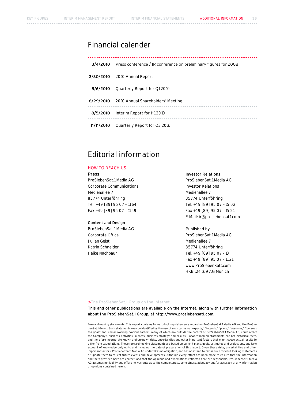# Financial calender

| 3/4/2010   | Press conference / IR conference on preliminary figures for 2008 |
|------------|------------------------------------------------------------------|
|            | 3/30/2010 2010 Annual Report                                     |
| 5/6/2010   | Quarterly Report for Q1 2010                                     |
|            | 6/29/2010 2010 Annual Shareholders' Meeting                      |
| 8/5/2010   | Interim Report for H1 2010                                       |
| 11/11/2010 | Quarterly Report for Q3 2010                                     |

# Editorial information

## How to Reach Us

### Press

ProSiebenSat.1 Media AG Corporate Communications Medienallee 7 85774 Unterföhring Tel. +49 [89] 95 07 – 11 64 Fax +49 [89] 95 07 – 11 59

## Content and Design

ProSiebenSat.1 Media AG Corporate Office Julian Geist Katrin Schneider Heike Nachbaur

## Investor Relations

ProSiebenSat.1 Media AG Investor Relations Medienallee 7 85774 Unterföhring Tel. +49 [89] 95 07 – 15 02 Fax +49 [89] 95 07 – 15 21 E-Mail: ir@prosiebensat1.com

## Published by

ProSiebenSat.1 Media AG Medienallee 7 85774 Unterföhring Tel. +49 [89] 95 07 - 10 Fax +49 [89] 95 07 – 11 21 www.ProSiebenSat1.com HRB 124 169 AG Munich

### > The ProSiebenSat.1 Group on the Internet.

This and other publications are available on the Internet, along with further information about the ProSiebenSat.1 Group, at http://www.prosiebensat1.com.

Forward-looking statements. This report contains forward-looking statements regarding ProSiebenSat.1 Media AG and the ProSiebenSat.1 Group. Such statements may be identified by the use of such terms as "expects," "intends," "plans," "assumes," "pursues the goal," and similar wording. Various factors, many of which are outside the control of ProSiebenSat.1 Media AG, could affect the Company's business activities, success, business strategy and results. Forward-looking statements are not historical facts, and therefore incorporate known and unknown risks, uncertainties and other important factors that might cause actual results to differ from expectations. These forward-looking statements are based on current plans, goals, estimates and projections, and take<br>account of knowledge only up to and including the date of preparation of this report. Given important factors, ProSiebenSat.1 Media AG undertakes no obligation, and has no intent, to revise such forward-looking statements or update them to reflect future events and developments. Although every effort has been made to ensure that the information and facts provided here are correct, and that the opinions and expectations reflected here are reasonable, ProSiebenSat.1 Media AG assumes no liability and offers no warranty as to the completeness, correctness, adequacy and/or accuracy of any information or opinions contained herein.